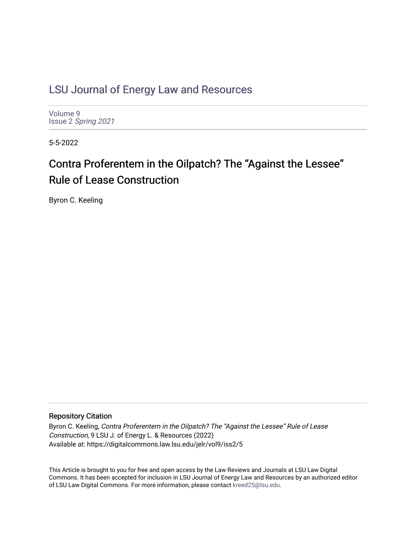# [LSU Journal of Energy Law and Resources](https://digitalcommons.law.lsu.edu/jelr)

[Volume 9](https://digitalcommons.law.lsu.edu/jelr/vol9) Issue 2 [Spring 2021](https://digitalcommons.law.lsu.edu/jelr/vol9/iss2) 

5-5-2022

# Contra Proferentem in the Oilpatch? The "Against the Lessee" Rule of Lease Construction

Byron C. Keeling

# Repository Citation

Byron C. Keeling, Contra Proferentem in the Oilpatch? The "Against the Lessee" Rule of Lease Construction, 9 LSU J. of Energy L. & Resources (2022) Available at: https://digitalcommons.law.lsu.edu/jelr/vol9/iss2/5

This Article is brought to you for free and open access by the Law Reviews and Journals at LSU Law Digital Commons. It has been accepted for inclusion in LSU Journal of Energy Law and Resources by an authorized editor of LSU Law Digital Commons. For more information, please contact [kreed25@lsu.edu](mailto:kreed25@lsu.edu).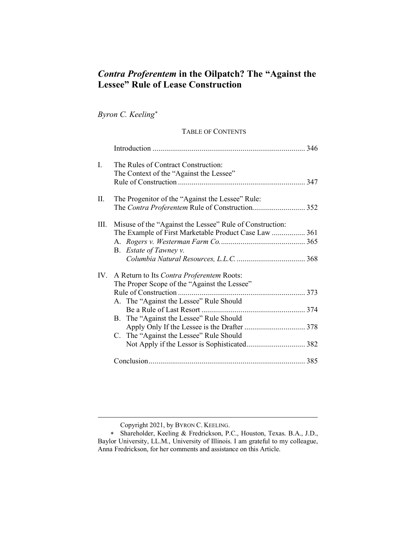# *Contra Proferentem* **in the Oilpatch? The "Against the Lessee" Rule of Lease Construction**

*Byron C. Keeling*[∗](#page-1-0)

# TABLE OF CONTENTS

| I.   | The Rules of Contract Construction:<br>The Context of the "Against the Lessee"                                                                                                                                             |  |
|------|----------------------------------------------------------------------------------------------------------------------------------------------------------------------------------------------------------------------------|--|
| П.   | The Progenitor of the "Against the Lessee" Rule:<br>The Contra Proferentem Rule of Construction 352                                                                                                                        |  |
| III. | Misuse of the "Against the Lessee" Rule of Construction:<br>The Example of First Marketable Product Case Law  361<br>B. Estate of Tawney v.                                                                                |  |
| IV.  | A Return to Its Contra Proferentem Roots:<br>The Proper Scope of the "Against the Lessee"<br>A. The "Against the Lessee" Rule Should<br>B. The "Against the Lessee" Rule Should<br>C. The "Against the Lessee" Rule Should |  |
|      |                                                                                                                                                                                                                            |  |

Copyright 2021, by BYRON C. KEELING.

<span id="page-1-0"></span><sup>∗</sup> Shareholder, Keeling & Fredrickson, P.C., Houston, Texas. B.A., J.D., Baylor University, LL.M., University of Illinois. I am grateful to my colleague, Anna Fredrickson, for her comments and assistance on this Article.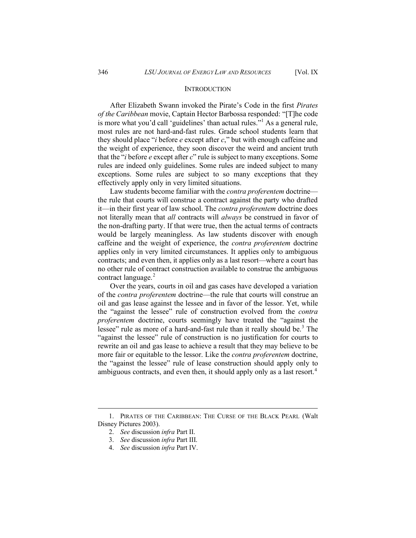#### **INTRODUCTION**

After Elizabeth Swann invoked the Pirate's Code in the first *Pirates of the Caribbean* movie, Captain Hector Barbossa responded: "[T]he code is more what you'd call 'guidelines' than actual rules."<sup>[1](#page-2-0)</sup> As a general rule, most rules are not hard-and-fast rules. Grade school students learn that they should place "*i* before *e* except after *c*," but with enough caffeine and the weight of experience, they soon discover the weird and ancient truth that the "*i* before *e* except after *c*" rule is subject to many exceptions. Some rules are indeed only guidelines. Some rules are indeed subject to many exceptions. Some rules are subject to so many exceptions that they effectively apply only in very limited situations.

Law students become familiar with the *contra proferentem* doctrine the rule that courts will construe a contract against the party who drafted it—in their first year of law school. The *contra proferentem* doctrine does not literally mean that *all* contracts will *always* be construed in favor of the non-drafting party. If that were true, then the actual terms of contracts would be largely meaningless. As law students discover with enough caffeine and the weight of experience, the *contra proferentem* doctrine applies only in very limited circumstances. It applies only to ambiguous contracts; and even then, it applies only as a last resort—where a court has no other rule of contract construction available to construe the ambiguous contract language.<sup>[2](#page-2-1)</sup>

Over the years, courts in oil and gas cases have developed a variation of the *contra proferentem* doctrine—the rule that courts will construe an oil and gas lease against the lessee and in favor of the lessor. Yet, while the "against the lessee" rule of construction evolved from the *contra proferentem* doctrine, courts seemingly have treated the "against the lessee" rule as more of a hard-and-fast rule than it really should be.<sup>[3](#page-2-2)</sup> The "against the lessee" rule of construction is no justification for courts to rewrite an oil and gas lease to achieve a result that they may believe to be more fair or equitable to the lessor. Like the *contra proferentem* doctrine, the "against the lessee" rule of lease construction should apply only to ambiguous contracts, and even then, it should apply only as a last resort.<sup>[4](#page-2-3)</sup>

<span id="page-2-3"></span><span id="page-2-2"></span><span id="page-2-1"></span><span id="page-2-0"></span><sup>1.</sup> PIRATES OF THE CARIBBEAN: THE CURSE OF THE BLACK PEARL (Walt Disney Pictures 2003).

<sup>2.</sup> *See* discussion *infra* Part II.

<sup>3.</sup> *See* discussion *infra* Part III.

<sup>4.</sup> *See* discussion *infra* Part IV.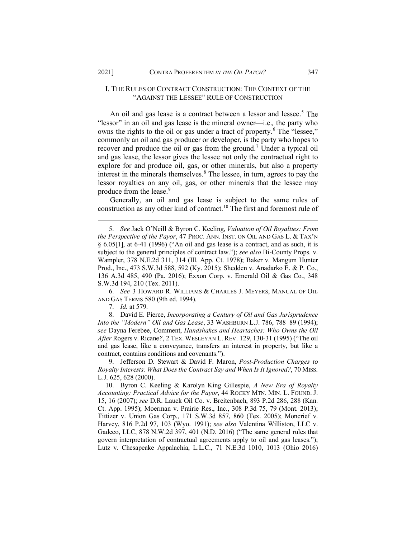#### I. THE RULES OF CONTRACT CONSTRUCTION: THE CONTEXT OF THE "AGAINST THE LESSEE" RULE OF CONSTRUCTION

An oil and gas lease is a contract between a lessor and lessee.<sup>[5](#page-3-0)</sup> The "lessor" in an oil and gas lease is the mineral owner—i.e.*,* the party who owns the rights to the oil or gas under a tract of property.<sup>[6](#page-3-1)</sup> The "lessee," commonly an oil and gas producer or developer, is the party who hopes to recover and produce the oil or gas from the ground.<sup>[7](#page-3-2)</sup> Under a typical oil and gas lease, the lessor gives the lessee not only the contractual right to explore for and produce oil, gas, or other minerals, but also a property interest in the minerals themselves.<sup>[8](#page-3-3)</sup> The lessee, in turn, agrees to pay the lessor royalties on any oil, gas, or other minerals that the lessee may produce from the lease.<sup>[9](#page-3-4)</sup>

Generally, an oil and gas lease is subject to the same rules of construction as any other kind of contract.[10](#page-3-5) The first and foremost rule of

<span id="page-3-1"></span>6. *See* 3 HOWARD R. WILLIAMS & CHARLES J. MEYERS, MANUAL OF OIL AND GAS TERMS 580 (9th ed. 1994).

7. *Id.* at 579.

<span id="page-3-3"></span><span id="page-3-2"></span>8. David E. Pierce, *Incorporating a Century of Oil and Gas Jurisprudence Into the "Modern" Oil and Gas Lease*, 33 WASHBURN L.J. 786, 788–89 (1994); *see* Dayna Ferebee, Comment, *Handshakes and Heartaches: Who Owns the Oil After* Rogers v. Ricane*?*, 2 TEX.WESLEYAN L. REV. 129, 130-31 (1995) ("The oil and gas lease, like a conveyance, transfers an interest in property, but like a contract, contains conditions and covenants.").

<span id="page-3-4"></span>9. Jefferson D. Stewart & David F. Maron, *Post-Production Charges to Royalty Interests: What Does the Contract Say and When Is It Ignored?*, 70 MISS. L.J. 625, 628 (2000).

<span id="page-3-5"></span>10. Byron C. Keeling & Karolyn King Gillespie, *A New Era of Royalty Accounting: Practical Advice for the Payor*, 44 ROCKY MTN. MIN. L. FOUND. J. 15, 16 (2007); *see* D.R. Lauck Oil Co. v. Breitenbach, 893 P.2d 286, 288 (Kan. Ct. App. 1995); Moerman v. Prairie Res., Inc., 308 P.3d 75, 79 (Mont. 2013); Tittizer v. Union Gas Corp., 171 S.W.3d 857, 860 (Tex. 2005); Moncrief v. Harvey, 816 P.2d 97, 103 (Wyo. 1991); *see also* Valentina Williston, LLC v. Gadeco, LLC, 878 N.W.2d 397, 401 (N.D. 2016) ("The same general rules that govern interpretation of contractual agreements apply to oil and gas leases."); Lutz v. Chesapeake Appalachia, L.L.C., 71 N.E.3d 1010, 1013 (Ohio 2016)

<span id="page-3-0"></span><sup>5.</sup> *See* Jack O'Neill & Byron C. Keeling, *Valuation of Oil Royalties: From the Perspective of the Payor*, 47 PROC. ANN. INST. ON OIL AND GAS L. & TAX'N § 6.05[1], at 6-41 (1996) ("An oil and gas lease is a contract, and as such, it is subject to the general principles of contract law."); *see also* Bi-County Props. v. Wampler, 378 N.E.2d 311, 314 (Ill. App. Ct. 1978); Baker v. Mangum Hunter Prod., Inc., 473 S.W.3d 588, 592 (Ky. 2015); Shedden v. Anadarko E. & P. Co., 136 A.3d 485, 490 (Pa. 2016); Exxon Corp. v. Emerald Oil & Gas Co., 348 S.W.3d 194, 210 (Tex. 2011).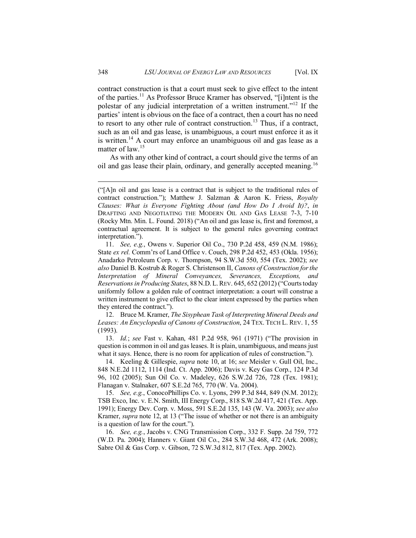contract construction is that a court must seek to give effect to the intent of the parties.<sup>[11](#page-4-0)</sup> As Professor Bruce Kramer has observed, "[i]ntent is the polestar of any judicial interpretation of a written instrument."[12](#page-4-1) If the parties' intent is obvious on the face of a contract, then a court has no need to resort to any other rule of contract construction.<sup>[13](#page-4-2)</sup> Thus, if a contract, such as an oil and gas lease, is unambiguous, a court must enforce it as it is written.<sup>[14](#page-4-3)</sup> A court may enforce an unambiguous oil and gas lease as a matter of law.<sup>[15](#page-4-4)</sup>

As with any other kind of contract, a court should give the terms of an oil and gas lease their plain, ordinary, and generally accepted meaning.<sup>[16](#page-4-5)</sup>

<span id="page-4-1"></span>12. Bruce M. Kramer, *The Sisyphean Task of Interpreting Mineral Deeds and Leases: An Encyclopedia of Canons of Construction*, 24 TEX. TECH L. REV. 1, 55 (1993).

<span id="page-4-2"></span>13. *Id.*; *see* Fast v. Kahan, 481 P.2d 958, 961 (1971) ("The provision in question is common in oil and gas leases. It is plain, unambiguous, and means just what it says. Hence, there is no room for application of rules of construction.").

<span id="page-4-3"></span>14. Keeling & Gillespie, *supra* note 10, at 16; *see* Meisler v. Gull Oil, Inc., 848 N.E.2d 1112, 1114 (Ind. Ct. App. 2006); Davis v. Key Gas Corp., 124 P.3d 96, 102 (2005); Sun Oil Co. v. Madeley, 626 S.W.2d 726, 728 (Tex. 1981); Flanagan v. Stalnaker, 607 S.E.2d 765, 770 (W. Va. 2004).

<span id="page-4-4"></span>15. *See, e.g.*, ConocoPhillips Co. v. Lyons, 299 P.3d 844, 849 (N.M. 2012); TSB Exco, Inc. v. E.N. Smith, III Energy Corp., 818 S.W.2d 417, 421 (Tex. App. 1991); Energy Dev. Corp. v. Moss, 591 S.E.2d 135, 143 (W. Va. 2003); *see also*  Kramer, *supra* note 12, at 13 ("The issue of whether or not there is an ambiguity is a question of law for the court.").

<span id="page-4-5"></span>16. *See, e.g.*, Jacobs v. CNG Transmission Corp., 332 F. Supp. 2d 759, 772 (W.D. Pa. 2004); Hanners v. Giant Oil Co., 284 S.W.3d 468, 472 (Ark. 2008); Sabre Oil & Gas Corp. v. Gibson, 72 S.W.3d 812, 817 (Tex. App. 2002).

<sup>(&</sup>quot;[A]n oil and gas lease is a contract that is subject to the traditional rules of contract construction."); Matthew J. Salzman & Aaron K. Friess, *Royalty Clauses: What is Everyone Fighting About (and How Do I Avoid It)?*, *in*  DRAFTING AND NEGOTIATING THE MODERN OIL AND GAS LEASE 7-3, 7-10 (Rocky Mtn. Min. L. Found. 2018) ("An oil and gas lease is, first and foremost, a contractual agreement. It is subject to the general rules governing contract interpretation.").

<span id="page-4-0"></span><sup>11.</sup> *See, e.g.*, Owens v. Superior Oil Co., 730 P.2d 458, 459 (N.M. 1986); State *ex rel.* Comm'rs of Land Office v. Couch, 298 P.2d 452, 453 (Okla. 1956); Anadarko Petroleum Corp. v. Thompson, 94 S.W.3d 550, 554 (Tex. 2002); *see also* Daniel B. Kostrub & Roger S. Christenson II, *Canons of Construction for the Interpretation of Mineral Conveyances, Severances, Exceptions, and Reservations in Producing States*, 88 N.D. L.REV. 645, 652 (2012) ("Courts today uniformly follow a golden rule of contract interpretation: a court will construe a written instrument to give effect to the clear intent expressed by the parties when they entered the contract.").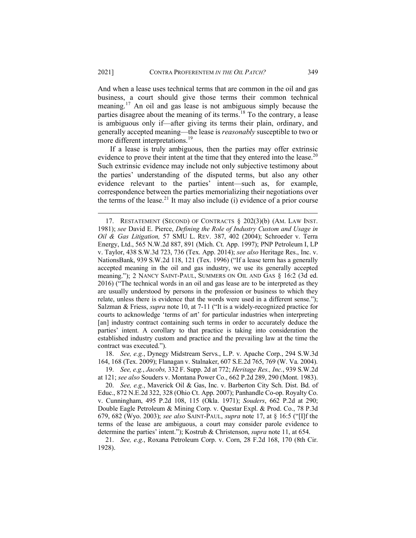And when a lease uses technical terms that are common in the oil and gas business, a court should give those terms their common technical meaning.[17](#page-5-0) An oil and gas lease is not ambiguous simply because the parties disagree about the meaning of its terms.<sup>[18](#page-5-1)</sup> To the contrary, a lease is ambiguous only if—after giving its terms their plain, ordinary, and generally accepted meaning—the lease is *reasonably* susceptible to two or more different interpretations.<sup>[19](#page-5-2)</sup>

If a lease is truly ambiguous, then the parties may offer extrinsic evidence to prove their intent at the time that they entered into the lease.<sup>[20](#page-5-3)</sup> Such extrinsic evidence may include not only subjective testimony about the parties' understanding of the disputed terms, but also any other evidence relevant to the parties' intent—such as, for example, correspondence between the parties memorializing their negotiations over the terms of the lease.<sup>[21](#page-5-4)</sup> It may also include (i) evidence of a prior course

<span id="page-5-1"></span>18. *See, e.g.*, Dynegy Midstream Servs., L.P. v. Apache Corp., 294 S.W.3d 164, 168 (Tex. 2009); Flanagan v. Stalnaker, 607 S.E.2d 765, 769 (W. Va. 2004).

<span id="page-5-2"></span>19. *See, e.g.*, *Jacobs,* 332 F. Supp. 2d at 772; *Heritage Res., Inc.*, 939 S.W.2d at 121; *see also* Souders v. Montana Power Co., 662 P.2d 289, 290 (Mont. 1983).

<span id="page-5-0"></span><sup>17.</sup> RESTATEMENT (SECOND) OF CONTRACTS § 202(3)(b) (AM. LAW INST. 1981); *see* David E. Pierce, *Defining the Role of Industry Custom and Usage in Oil & Gas Litigation,* 57 SMU L. REV. 387, 402 (2004); Schroeder v. Terra Energy, Ltd., 565 N.W.2d 887, 891 (Mich. Ct. App. 1997); PNP Petroleum I, LP v. Taylor, 438 S.W.3d 723, 736 (Tex. App. 2014); *see also* Heritage Res., Inc. v. NationsBank, 939 S.W.2d 118, 121 (Tex. 1996) ("If a lease term has a generally accepted meaning in the oil and gas industry, we use its generally accepted meaning."); 2 NANCY SAINT-PAUL, SUMMERS ON OIL AND GAS § 16:2 (3d ed. 2016) ("The technical words in an oil and gas lease are to be interpreted as they are usually understood by persons in the profession or business to which they relate, unless there is evidence that the words were used in a different sense."); Salzman & Friess, *supra* note 10, at 7-11 ("It is a widely-recognized practice for courts to acknowledge 'terms of art' for particular industries when interpreting [an] industry contract containing such terms in order to accurately deduce the parties' intent. A corollary to that practice is taking into consideration the established industry custom and practice and the prevailing law at the time the contract was executed.").

<span id="page-5-3"></span><sup>20.</sup> *See, e.g.*, Maverick Oil & Gas, Inc. v. Barberton City Sch. Dist. Bd. of Educ., 872 N.E.2d 322, 328 (Ohio Ct. App. 2007); Panhandle Co-op. Royalty Co. v. Cunningham, 495 P.2d 108, 115 (Okla. 1971); *Souders*, 662 P.2d at 290; Double Eagle Petroleum & Mining Corp. v. Questar Expl. & Prod. Co., 78 P.3d 679, 682 (Wyo. 2003); *see also* SAINT-PAUL, *supra* note 17, at § 16:5 ("[I]f the terms of the lease are ambiguous, a court may consider parole evidence to determine the parties' intent."); Kostrub & Christenson, *supra* note 11, at 654.

<span id="page-5-4"></span><sup>21.</sup> *See, e.g.*, Roxana Petroleum Corp. v. Corn, 28 F.2d 168, 170 (8th Cir. 1928).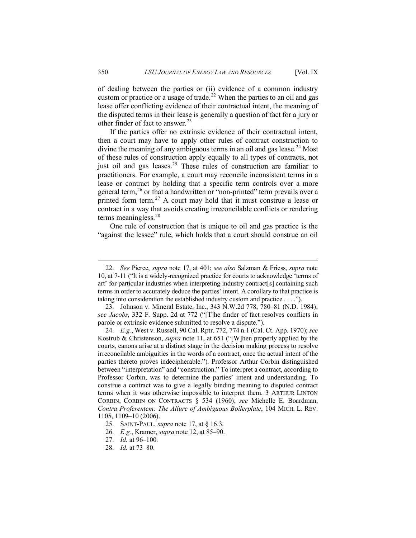of dealing between the parties or (ii) evidence of a common industry custom or practice or a usage of trade.<sup>[22](#page-6-0)</sup> When the parties to an oil and gas lease offer conflicting evidence of their contractual intent, the meaning of the disputed terms in their lease is generally a question of fact for a jury or other finder of fact to answer.<sup>[23](#page-6-1)</sup>

If the parties offer no extrinsic evidence of their contractual intent, then a court may have to apply other rules of contract construction to divine the meaning of any ambiguous terms in an oil and gas lease.<sup>[24](#page-6-2)</sup> Most of these rules of construction apply equally to all types of contracts, not just oil and gas leases.<sup>[25](#page-6-3)</sup> These rules of construction are familiar to practitioners. For example, a court may reconcile inconsistent terms in a lease or contract by holding that a specific term controls over a more general term,  $^{26}$  $^{26}$  $^{26}$  or that a handwritten or "non-printed" term prevails over a printed form term.<sup>[27](#page-6-5)</sup> A court may hold that it must construe a lease or contract in a way that avoids creating irreconcilable conflicts or rendering terms meaningless.[28](#page-6-6)

One rule of construction that is unique to oil and gas practice is the "against the lessee" rule, which holds that a court should construe an oil

<span id="page-6-0"></span><sup>22.</sup> *See* Pierce, *supra* note 17, at 401; *see also* Salzman & Friess, *supra* note 10, at 7-11 ("It is a widely-recognized practice for courts to acknowledge 'terms of art' for particular industries when interpreting industry contract[s] containing such terms in order to accurately deduce the parties' intent. A corollary to that practice is taking into consideration the established industry custom and practice . . . .").

<span id="page-6-1"></span><sup>23.</sup> Johnson v. Mineral Estate, Inc., 343 N.W.2d 778, 780–81 (N.D. 1984); *see Jacobs*, 332 F. Supp. 2d at 772 ("[T]he finder of fact resolves conflicts in parole or extrinsic evidence submitted to resolve a dispute.").

<span id="page-6-2"></span><sup>24.</sup> *E.g.*, West v. Russell, 90 Cal. Rptr. 772, 774 n.1 (Cal. Ct. App. 1970); *see* Kostrub & Christenson, *supra* note 11, at 651 ("[W]hen properly applied by the courts, canons arise at a distinct stage in the decision making process to resolve irreconcilable ambiguities in the words of a contract, once the actual intent of the parties thereto proves indecipherable."). Professor Arthur Corbin distinguished between "interpretation" and "construction." To interpret a contract, according to Professor Corbin, was to determine the parties' intent and understanding. To construe a contract was to give a legally binding meaning to disputed contract terms when it was otherwise impossible to interpret them. 3 ARTHUR LINTON CORBIN, CORBIN ON CONTRACTS § 534 (1960); *see* Michelle E. Boardman, *Contra Proferentem: The Allure of Ambiguous Boilerplate*, 104 MICH. L. REV. 1105, 1109–10 (2006).

<span id="page-6-4"></span><span id="page-6-3"></span><sup>25.</sup> SAINT-PAUL, *supra* note 17, at § 16.3.

<sup>26.</sup> *E.g.*, Kramer, *supra* note 12, at 85–90.

<span id="page-6-6"></span><span id="page-6-5"></span><sup>27.</sup> *Id.* at 96–100.

<sup>28.</sup> *Id.* at 73–80.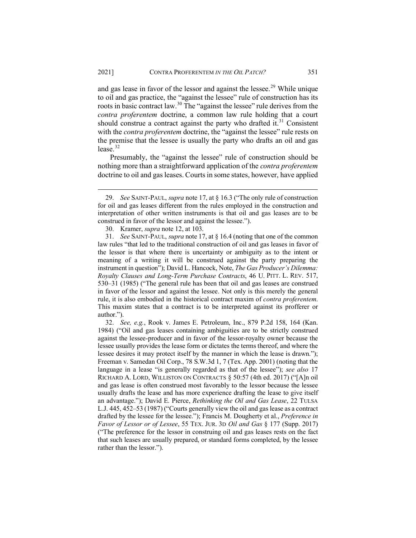and gas lease in favor of the lessor and against the lessee.<sup>[29](#page-7-0)</sup> While unique to oil and gas practice, the "against the lessee" rule of construction has its roots in basic contract law.[30](#page-7-1) The "against the lessee" rule derives from the *contra proferentem* doctrine, a common law rule holding that a court should construe a contract against the party who drafted it.<sup>[31](#page-7-2)</sup> Consistent with the *contra proferentem* doctrine, the "against the lessee" rule rests on the premise that the lessee is usually the party who drafts an oil and gas lease. $32$ 

Presumably, the "against the lessee" rule of construction should be nothing more than a straightforward application of the *contra proferentem* doctrine to oil and gas leases. Courts in some states, however, have applied

<span id="page-7-0"></span><sup>29.</sup> *See* SAINT-PAUL, *supra* note 17, at § 16.3 ("The only rule of construction for oil and gas leases different from the rules employed in the construction and interpretation of other written instruments is that oil and gas leases are to be construed in favor of the lessor and against the lessee.").

<sup>30.</sup> Kramer, *supra* note 12, at 103.

<span id="page-7-2"></span><span id="page-7-1"></span><sup>31.</sup> *See* SAINT-PAUL, *supra* note 17, at § 16.4 (noting that one of the common law rules "that led to the traditional construction of oil and gas leases in favor of the lessor is that where there is uncertainty or ambiguity as to the intent or meaning of a writing it will be construed against the party preparing the instrument in question"); David L. Hancock, Note, *The Gas Producer's Dilemma: Royalty Clauses and Long-Term Purchase Contracts*, 46 U. PITT. L. REV. 517, 530–31 (1985) ("The general rule has been that oil and gas leases are construed in favor of the lessor and against the lessee. Not only is this merely the general rule, it is also embodied in the historical contract maxim of *contra proferentem*. This maxim states that a contract is to be interpreted against its profferer or author.").

<span id="page-7-3"></span><sup>32.</sup> *See, e.g.*, Rook v. James E. Petroleum, Inc., 879 P.2d 158, 164 (Kan. 1984) ("Oil and gas leases containing ambiguities are to be strictly construed against the lessee-producer and in favor of the lessor-royalty owner because the lessee usually provides the lease form or dictates the terms thereof, and where the lessee desires it may protect itself by the manner in which the lease is drawn."); Freeman v. Samedan Oil Corp., 78 S.W.3d 1, 7 (Tex. App. 2001) (noting that the language in a lease "is generally regarded as that of the lessee"); *see also* 17 RICHARD A. LORD, WILLISTON ON CONTRACTS § 50:57 (4th ed. 2017) ("[A]n oil and gas lease is often construed most favorably to the lessor because the lessee usually drafts the lease and has more experience drafting the lease to give itself an advantage."); David E. Pierce, *Rethinking the Oil and Gas Lease*, 22 TULSA L.J. 445, 452–53 (1987) ("Courts generally view the oil and gas lease as a contract drafted by the lessee for the lessee."); Francis M. Dougherty et al., *Preference in Favor of Lessor or of Lessee*, 55 TEX. JUR. 3D *Oil and Gas* § 177 (Supp. 2017) ("The preference for the lessor in construing oil and gas leases rests on the fact that such leases are usually prepared, or standard forms completed, by the lessee rather than the lessor.").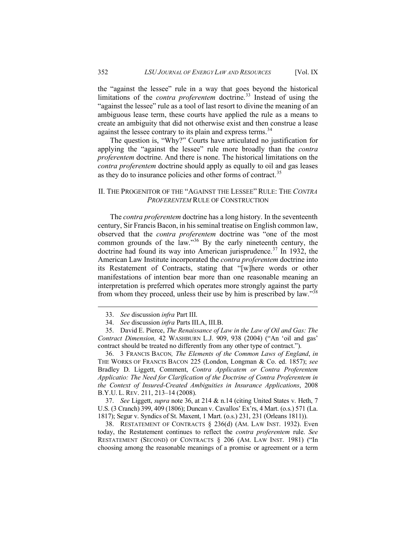the "against the lessee" rule in a way that goes beyond the historical limitations of the *contra proferentem* doctrine.<sup>[33](#page-8-0)</sup> Instead of using the "against the lessee" rule as a tool of last resort to divine the meaning of an ambiguous lease term, these courts have applied the rule as a means to create an ambiguity that did not otherwise exist and then construe a lease against the lessee contrary to its plain and express terms.<sup>[34](#page-8-1)</sup>

The question is, "Why?" Courts have articulated no justification for applying the "against the lessee" rule more broadly than the *contra proferentem* doctrine. And there is none. The historical limitations on the *contra proferentem* doctrine should apply as equally to oil and gas leases as they do to insurance policies and other forms of contract.<sup>[35](#page-8-2)</sup>

#### II. THE PROGENITOR OF THE "AGAINST THE LESSEE" RULE: THE *CONTRA PROFERENTEM* RULE OF CONSTRUCTION

The *contra proferentem* doctrine has a long history. In the seventeenth century, Sir Francis Bacon, in hisseminal treatise on English common law, observed that the *contra proferentem* doctrine was "one of the most common grounds of the law."[36](#page-8-3) By the early nineteenth century, the doctrine had found its way into American jurisprudence.<sup>[37](#page-8-4)</sup> In 1932, the American Law Institute incorporated the *contra proferentem* doctrine into its Restatement of Contracts, stating that "[w]here words or other manifestations of intention bear more than one reasonable meaning an interpretation is preferred which operates more strongly against the party from whom they proceed, unless their use by him is prescribed by law."<sup>[38](#page-8-5)</sup>

<span id="page-8-3"></span>36. 3 FRANCIS BACON*, The Elements of the Common Laws of England*, *in* THE WORKS OF FRANCIS BACON 225 (London, Longman & Co. ed. 1857); *see*  Bradley D. Liggett, Comment, *Contra Applicatem or Contra Proferentem Applicatio: The Need for Clarification of the Doctrine of Contra Proferentem in the Context of Insured-Created Ambiguities in Insurance Applications*, 2008 B.Y.U. L. REV. 211, 213–14 (2008).

<span id="page-8-4"></span>37. *See* Liggett, *supra* note 36, at 214 & n.14 (citing United States v. Heth, 7 U.S. (3 Cranch) 399, 409 (1806); Duncan v. Cavallos' Ex'rs, 4 Mart. (o.s.) 571 (La. 1817); Segur v. Syndics of St. Maxent, 1 Mart. (o.s.) 231, 231 (Orleans 1811)).

<span id="page-8-5"></span>38. RESTATEMENT OF CONTRACTS § 236(d) (AM. LAW INST. 1932). Even today, the Restatement continues to reflect the *contra proferentem* rule. *See* RESTATEMENT (SECOND) OF CONTRACTS § 206 (AM. LAW INST. 1981) ("In choosing among the reasonable meanings of a promise or agreement or a term

<sup>33.</sup> *See* discussion *infra* Part III.

<sup>34.</sup> *See* discussion *infra* Parts III.A, III.B.

<span id="page-8-2"></span><span id="page-8-1"></span><span id="page-8-0"></span><sup>35.</sup> David E. Pierce, *The Renaissance of Law in the Law of Oil and Gas: The Contract Dimension,* 42 WASHBURN L.J. 909, 938 (2004) ("An 'oil and gas' contract should be treated no differently from any other type of contract.").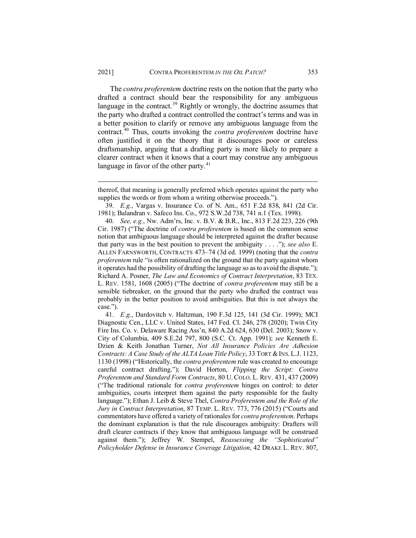The *contra proferentem* doctrine rests on the notion that the party who drafted a contract should bear the responsibility for any ambiguous language in the contract.<sup>[39](#page-9-0)</sup> Rightly or wrongly, the doctrine assumes that the party who drafted a contract controlled the contract's terms and was in a better position to clarify or remove any ambiguous language from the contract.[40](#page-9-1) Thus, courts invoking the *contra proferentem* doctrine have often justified it on the theory that it discourages poor or careless draftsmanship, arguing that a drafting party is more likely to prepare a clearer contract when it knows that a court may construe any ambiguous language in favor of the other party. $41$ 

<span id="page-9-2"></span>41. *E.g.*, Dardovitch v. Haltzman, 190 F.3d 125, 141 (3d Cir. 1999); MCI Diagnostic Cen., LLC v. United States, 147 Fed. Cl. 246, 278 (2020); Twin City Fire Ins. Co. v. Delaware Racing Ass'n, 840 A.2d 624, 630 (Del. 2003); Snow v. City of Columbia, 409 S.E.2d 797, 800 (S.C. Ct. App. 1991); *see* Kenneth E. Dzien & Keith Jonathan Turner, *Not All Insurance Policies Are Adhesion Contracts: A Case Study of the ALTA Loan Title Policy*, 33 TORT & INS. L.J. 1123, 1130 (1998) ("Historically, the *contra proferentem* rule was created to encourage careful contract drafting."); David Horton, *Flipping the Script: Contra Proferentem and Standard Form Contracts*, 80 U. COLO. L. REV. 431, 437 (2009) ("The traditional rationale for *contra proferentem* hinges on control: to deter ambiguities, courts interpret them against the party responsible for the faulty language."); Ethan J. Leib & Steve Thel, *Contra Proferentem and the Role of the Jury in Contract Interpretation*, 87 TEMP. L. REV. 773, 776 (2015) ("Courts and commentators have offered a variety of rationales for *contra proferentem*. Perhaps the dominant explanation is that the rule discourages ambiguity: Drafters will draft clearer contracts if they know that ambiguous language will be construed against them."); Jeffrey W. Stempel, *Reassessing the "Sophisticated" Policyholder Defense in Insurance Coverage Litigation*, 42 DRAKE L. REV. 807,

thereof, that meaning is generally preferred which operates against the party who supplies the words or from whom a writing otherwise proceeds.").

<sup>39.</sup> *E.g.*, Vargas v. Insurance Co. of N. Am., 651 F.2d 838, 841 (2d Cir. 1981); Balandran v. Safeco Ins. Co., 972 S.W.2d 738, 741 n.1 (Tex. 1998).

<span id="page-9-1"></span><span id="page-9-0"></span><sup>40.</sup> *See, e.g.*, Nw. Adm'rs, Inc. v. B.V. & B.R., Inc., 813 F.2d 223, 226 (9th Cir. 1987) ("The doctrine of *contra proferentem* is based on the common sense notion that ambiguous language should be interpreted against the drafter because that party was in the best position to prevent the ambiguity . . . ."); *see also* E. ALLEN FARNSWORTH, CONTRACTS 473–74 (3d ed. 1999) (noting that the *contra proferentem* rule "is often rationalized on the ground that the party against whom it operates had the possibility of drafting the language so as to avoid the dispute."); Richard A. Posner, *The Law and Economics of Contract Interpretation*, 83 TEX. L. REV. 1581, 1608 (2005) ("The doctrine of *contra proferentem* may still be a sensible tiebreaker, on the ground that the party who drafted the contract was probably in the better position to avoid ambiguities. But this is not always the case.").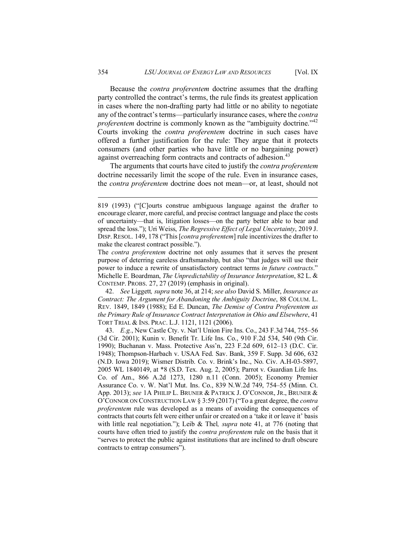Because the *contra proferentem* doctrine assumes that the drafting party controlled the contract's terms, the rule finds its greatest application in cases where the non-drafting party had little or no ability to negotiate any of the contract's terms—particularly insurance cases, where the *contra proferentem* doctrine is commonly known as the "ambiguity doctrine."<sup>[42](#page-10-0)</sup> Courts invoking the *contra proferentem* doctrine in such cases have offered a further justification for the rule: They argue that it protects consumers (and other parties who have little or no bargaining power) against overreaching form contracts and contracts of adhesion.<sup>[43](#page-10-1)</sup>

The arguments that courts have cited to justify the *contra proferentem* doctrine necessarily limit the scope of the rule. Even in insurance cases, the *contra proferentem* doctrine does not mean—or, at least, should not

<span id="page-10-0"></span>42. *See* Liggett*, supra* note 36, at 214; *see also* David S. Miller, *Insurance as Contract: The Argument for Abandoning the Ambiguity Doctrine*, 88 COLUM. L. REV. 1849, 1849 (1988); Ed E. Duncan, *The Demise of Contra Proferentem as the Primary Rule of Insurance Contract Interpretation in Ohio and Elsewhere*, 41 TORT TRIAL & INS. PRAC. L.J. 1121, 1121 (2006).

<span id="page-10-1"></span>43. *E.g.*, New Castle Cty. v. Nat'l Union Fire Ins. Co., 243 F.3d 744, 755–56 (3d Cir. 2001); Kunin v. Benefit Tr. Life Ins. Co., 910 F.2d 534, 540 (9th Cir. 1990); Buchanan v. Mass. Protective Ass'n, 223 F.2d 609, 612–13 (D.C. Cir. 1948); Thompson-Harbach v. USAA Fed. Sav. Bank, 359 F. Supp. 3d 606, 632 (N.D. Iowa 2019); Wismer Distrib. Co. v. Brink's Inc., No. Civ. A.H-03-5897, 2005 WL 1840149, at \*8 (S.D. Tex. Aug. 2, 2005); Parrot v. Guardian Life Ins. Co. of Am., 866 A.2d 1273, 1280 n.11 (Conn. 2005); Economy Premier Assurance Co. v. W. Nat'l Mut. Ins. Co., 839 N.W.2d 749, 754–55 (Minn. Ct. App. 2013); *see* 1A PHILIP L. BRUNER & PATRICK J. O'CONNOR, JR., BRUNER & O'CONNOR ON CONSTRUCTION LAW § 3:59 (2017) ("To a great degree, the *contra proferentem* rule was developed as a means of avoiding the consequences of contracts that courts felt were either unfair or created on a 'take it or leave it' basis with little real negotiation."); Leib & Thel*, supra* note 41, at 776 (noting that courts have often tried to justify the *contra proferentem* rule on the basis that it "serves to protect the public against institutions that are inclined to draft obscure contracts to entrap consumers").

<sup>819 (1993) (&</sup>quot;[C]ourts construe ambiguous language against the drafter to encourage clearer, more careful, and precise contract language and place the costs of uncertainty—that is, litigation losses—on the party better able to bear and spread the loss."); Uri Weiss, *The Regressive Effect of Legal Uncertainty*, 2019 J. DISP. RESOL. 149, 178 ("This [*contra proferentem*] rule incentivizes the drafter to make the clearest contract possible.").

The *contra proferentem* doctrine not only assumes that it serves the present purpose of deterring careless draftsmanship, but also "that judges will use their power to induce a rewrite of unsatisfactory contract terms *in future contracts*." Michelle E. Boardman, *The Unpredictability of Insurance Interpretation*, 82 L. & CONTEMP. PROBS. 27, 27 (2019) (emphasis in original).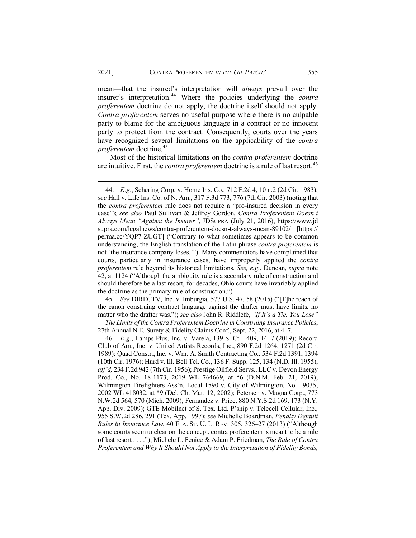mean—that the insured's interpretation will *always* prevail over the insurer's interpretation.[44](#page-11-0) Where the policies underlying the *contra proferentem* doctrine do not apply, the doctrine itself should not apply. *Contra proferentem* serves no useful purpose where there is no culpable party to blame for the ambiguous language in a contract or no innocent party to protect from the contract. Consequently, courts over the years have recognized several limitations on the applicability of the *contra proferentem* doctrine.<sup>[45](#page-11-1)</sup>

Most of the historical limitations on the *contra proferentem* doctrine are intuitive. First, the *contra proferentem* doctrine is a rule of last resort.<sup>[46](#page-11-2)</sup>

<span id="page-11-1"></span>45. *See* DIRECTV, Inc. v. Imburgia, 577 U.S. 47, 58 (2015) ("[T]he reach of the canon construing contract language against the drafter must have limits, no matter who the drafter was."); *see also* John R. Riddlefe, *"If It's a Tie, You Lose" — The Limits of the Contra Proferentem Doctrine in Construing Insurance Policies*, 27th Annual N.E. Surety & Fidelity Claims Conf., Sept. 22, 2016, at 4–7.

<span id="page-11-2"></span>46. *E.g.*, Lamps Plus, Inc. v. Varela, 139 S. Ct. 1409, 1417 (2019); Record Club of Am., Inc. v. United Artists Records, Inc., 890 F.2d 1264, 1271 (2d Cir. 1989); Quad Constr., Inc. v. Wm. A. Smith Contracting Co., 534 F.2d 1391, 1394 (10th Cir. 1976); Hurd v. Ill. Bell Tel. Co., 136 F. Supp. 125, 134 (N.D. Ill. 1955), *aff'd,* 234 F.2d 942 (7th Cir. 1956); Prestige Oilfield Servs., LLC v. Devon Energy Prod. Co., No. 18-1173, 2019 WL 764669, at \*6 (D.N.M. Feb. 21, 2019); Wilmington Firefighters Ass'n, Local 1590 v. City of Wilmington, No. 19035, 2002 WL 418032, at \*9 (Del. Ch. Mar. 12, 2002); Petersen v. Magna Corp., 773 N.W.2d 564, 570 (Mich. 2009); Fernandez v. Price, 880 N.Y.S.2d 169, 173 (N.Y. App. Div. 2009); GTE Mobilnet of S. Tex. Ltd. P'ship v. Telecell Cellular, Inc.*,*  955 S.W.2d 286, 291 (Tex. App. 1997); *see* Michelle Boardman, *Penalty Default Rules in Insurance Law*, 40 FLA. ST. U. L. REV. 305, 326–27 (2013) ("Although some courts seem unclear on the concept, contra proferentem is meant to be a rule of last resort . . . ."); Michele L. Fenice & Adam P. Friedman, *The Rule of Contra Proferentem and Why It Should Not Apply to the Interpretation of Fidelity Bonds*,

<span id="page-11-0"></span><sup>44.</sup> *E.g.*, Schering Corp. v. Home Ins. Co., 712 F.2d 4, 10 n.2 (2d Cir. 1983); *see* Hall v. Life Ins. Co. of N. Am., 317 F.3d 773, 776 (7th Cir. 2003) (noting that the *contra proferentem* rule does not require a "pro-insured decision in every case"); *see also* Paul Sullivan & Jeffrey Gordon, *Contra Proferentem Doesn't Always Mean "Against the Insurer"*, JDSUPRA (July 21, 2016), https://www.jd supra.com/legalnews/contra-proferentem-doesn-t-always-mean-89102/ [https:// perma.cc/YQP7-ZUGT] ("Contrary to what sometimes appears to be common understanding, the English translation of the Latin phrase *contra proferentem* is not 'the insurance company loses.'"). Many commentators have complained that courts, particularly in insurance cases, have improperly applied the *contra proferentem* rule beyond its historical limitations. *See, e.g.*, Duncan, *supra* note 42, at 1124 ("Although the ambiguity rule is a secondary rule of construction and should therefore be a last resort, for decades, Ohio courts have invariably applied the doctrine as the primary rule of construction.").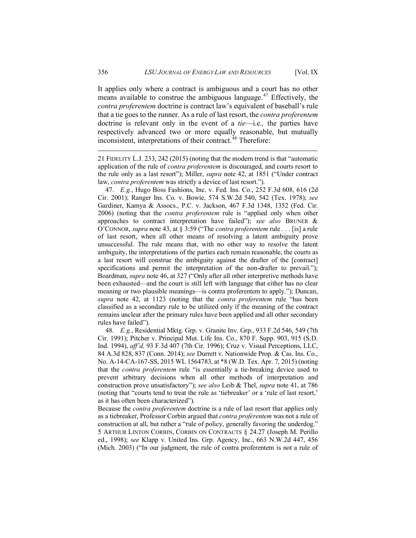It applies only where a contract is ambiguous and a court has no other means available to construe the ambiguous language.<sup>[47](#page-12-0)</sup> Effectively, the *contra proferentem* doctrine is contract law's equivalent of baseball's rule that a tie goes to the runner. As a rule of last resort, the *contra proferentem* doctrine is relevant only in the event of a *tie*—i.e.*,* the parties have respectively advanced two or more equally reasonable, but mutually inconsistent, interpretations of their contract.<sup>[48](#page-12-1)</sup> Therefore:

21 FIDELITY L.J. 233, 242 (2015) (noting that the modern trend is that "automatic application of the rule of *contra proferentem* is discouraged, and courts resort to the rule only as a last resort"); Miller, *supra* note 42, at 1851 ("Under contract law, *contra proferentem* was strictly a device of last resort.").

<span id="page-12-0"></span>47. *E.g.*, Hugo Boss Fashions, Inc. v. Fed. Ins. Co., 252 F.3d 608, 616 (2d Cir. 2001); Ranger Ins. Co. v. Bowie, 574 S.W.2d 540, 542 (Tex. 1978); *see*  Gardiner, Kamya & Assocs., P.C. v. Jackson, 467 F.3d 1348, 1352 (Fed. Cir. 2006) (noting that the *contra proferentem* rule is "applied only when other approaches to contract interpretation have failed"); *see also* BRUNER & O'CONNOR, *supra* note 43, at § 3:59 ("The *contra proferentem* rule . . . [is] a rule of last resort, when all other means of resolving a latent ambiguity prove unsuccessful. The rule means that, with no other way to resolve the latent ambiguity, the interpretations of the parties each remain reasonable, the courts as a last resort will construe the ambiguity against the drafter of the [contract] specifications and permit the interpretation of the non-drafter to prevail."); Boardman, *supra* note 46, at 327 ("Only after all other interpretive methods have been exhausted—and the court is still left with language that either has no clear meaning or two plausible meanings—is contra proferentem to apply."); Duncan, *supra* note 42, at 1123 (noting that the *contra proferentem* rule "has been classified as a secondary rule to be utilized only if the meaning of the contract remains unclear after the primary rules have been applied and all other secondary rules have failed").

<span id="page-12-1"></span>48. *E.g.*, Residential Mktg. Grp. v. Granite Inv. Grp., 933 F.2d 546, 549 (7th Cir. 1991); Pitcher v. Principal Mut. Life Ins. Co., 870 F. Supp. 903, 915 (S.D. Ind. 1994), *aff'd,* 93 F.3d 407 (7th Cir. 1996); Cruz v. Visual Perceptions, LLC, 84 A.3d 828, 837 (Conn. 2014); *see* Durrett v. Nationwide Prop. & Cas. Ins. Co., No. A-14-CA-167-SS, 2015 WL 1564783, at \*8 (W.D. Tex. Apr. 7, 2015) (noting that the *contra proferentem* rule "is essentially a tie-breaking device used to prevent arbitrary decisions when all other methods of interpretation and construction prove unsatisfactory"); *see also* Leib & Thel, *supra* note 41, at 786 (noting that "courts tend to treat the rule as 'tiebreaker' or a 'rule of last resort,' as it has often been characterized").

Because the *contra proferentem* doctrine is a rule of last resort that applies only as a tiebreaker, Professor Corbin argued that *contra proferentem* was not a rule of construction at all, but rather a "rule of policy, generally favoring the underdog." 5 ARTHUR LINTON CORBIN, CORBIN ON CONTRACTS § 24.27 (Joseph M. Perillo ed., 1998); *see* Klapp v. United Ins. Grp. Agency, Inc., 663 N.W.2d 447, 456 (Mich. 2003) ("In our judgment, the rule of contra proferentem is not a rule of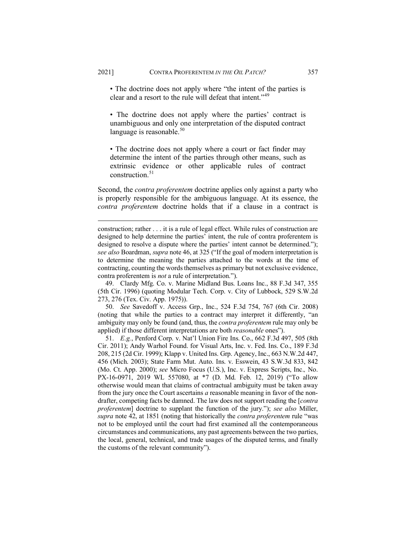• The doctrine does not apply where "the intent of the parties is clear and a resort to the rule will defeat that intent."[49](#page-13-0)

• The doctrine does not apply where the parties' contract is unambiguous and only one interpretation of the disputed contract language is reasonable. $50$ 

• The doctrine does not apply where a court or fact finder may determine the intent of the parties through other means, such as extrinsic evidence or other applicable rules of contract  $construction<sup>51</sup>$  $construction<sup>51</sup>$  $construction<sup>51</sup>$ 

Second, the *contra proferentem* doctrine applies only against a party who is properly responsible for the ambiguous language. At its essence, the *contra proferentem* doctrine holds that if a clause in a contract is

<span id="page-13-0"></span>49. Clardy Mfg. Co. v. Marine Midland Bus. Loans Inc., 88 F.3d 347, 355 (5th Cir. 1996) (quoting Modular Tech. Corp. v. City of Lubbock, 529 S.W.2d 273, 276 (Tex. Civ. App. 1975)).

<span id="page-13-1"></span>50. *See* Savedoff v. Access Grp., Inc., 524 F.3d 754, 767 (6th Cir. 2008) (noting that while the parties to a contract may interpret it differently, "an ambiguity may only be found (and, thus, the *contra proferentem* rule may only be applied) if those different interpretations are both *reasonable* ones").

<span id="page-13-2"></span>51. *E.g.*, Penford Corp. v. Nat'l Union Fire Ins. Co., 662 F.3d 497, 505 (8th Cir. 2011); Andy Warhol Found. for Visual Arts, Inc. v. Fed. Ins. Co., 189 F.3d 208, 215 (2d Cir. 1999); Klapp v. United Ins. Grp. Agency, Inc., 663 N.W.2d 447, 456 (Mich. 2003); State Farm Mut. Auto. Ins. v. Esswein, 43 S.W.3d 833, 842 (Mo. Ct. App. 2000); *see* Micro Focus (U.S.), Inc. v. Express Scripts, Inc.*,* No. PX-16-0971, 2019 WL 557080, at \*7 (D. Md. Feb. 12, 2019) ("To allow otherwise would mean that claims of contractual ambiguity must be taken away from the jury once the Court ascertains *a* reasonable meaning in favor of the nondrafter, competing facts be damned. The law does not support reading the [*contra proferentem*] doctrine to supplant the function of the jury."); *see also* Miller, *supra* note 42, at 1851 (noting that historically the *contra proferentem* rule "was not to be employed until the court had first examined all the contemporaneous circumstances and communications, any past agreements between the two parties, the local, general, technical, and trade usages of the disputed terms, and finally the customs of the relevant community").

construction; rather . . . it is a rule of legal effect. While rules of construction are designed to help determine the parties' intent, the rule of contra proferentem is designed to resolve a dispute where the parties' intent cannot be determined."); *see also* Boardman, *supra* note 46, at 325 ("If the goal of modern interpretation is to determine the meaning the parties attached to the words at the time of contracting, counting the words themselves as primary but not exclusive evidence, contra proferentem is *not* a rule of interpretation.").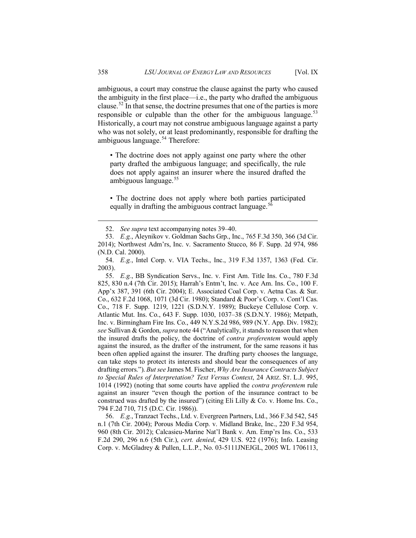ambiguous, a court may construe the clause against the party who caused the ambiguity in the first place—i.e., the party who drafted the ambiguous clause.<sup>[52](#page-14-0)</sup> In that sense, the doctrine presumes that one of the parties is more responsible or culpable than the other for the ambiguous language.<sup>[53](#page-14-1)</sup> Historically, a court may not construe ambiguous language against a party who was not solely, or at least predominantly, responsible for drafting the ambiguous language.<sup>[54](#page-14-2)</sup> Therefore:

• The doctrine does not apply against one party where the other party drafted the ambiguous language; and specifically, the rule does not apply against an insurer where the insured drafted the ambiguous language.<sup>[55](#page-14-3)</sup>

• The doctrine does not apply where both parties participated equally in drafting the ambiguous contract language.<sup>5</sup>

<span id="page-14-3"></span>55. *E.g.*, BB Syndication Servs., Inc. v. First Am. Title Ins. Co., 780 F.3d 825, 830 n.4 (7th Cir. 2015); Harrah's Entm't, Inc. v. Ace Am. Ins. Co., 100 F. App'x 387, 391 (6th Cir. 2004); E. Associated Coal Corp. v. Aetna Cas. & Sur. Co., 632 F.2d 1068, 1071 (3d Cir. 1980); Standard & Poor's Corp. v. Cont'l Cas. Co., 718 F. Supp. 1219, 1221 (S.D.N.Y. 1989); Buckeye Cellulose Corp. v. Atlantic Mut. Ins. Co., 643 F. Supp. 1030, 1037–38 (S.D.N.Y. 1986); Metpath, Inc. v. Birmingham Fire Ins. Co., 449 N.Y.S.2d 986, 989 (N.Y. App. Div. 1982); *see* Sullivan & Gordon, *supra* note 44 ("Analytically, it stands to reason that when the insured drafts the policy, the doctrine of *contra proferentem* would apply against the insured, as the drafter of the instrument, for the same reasons it has been often applied against the insurer. The drafting party chooses the language, can take steps to protect its interests and should bear the consequences of any drafting errors."). *But see* James M. Fischer, *Why Are Insurance Contracts Subject to Special Rules of Interpretation? Text Versus Context*, 24 ARIZ. ST. L.J. 995, 1014 (1992) (noting that some courts have applied the *contra proferentem* rule against an insurer "even though the portion of the insurance contract to be construed was drafted by the insured") (citing Eli Lilly & Co. v. Home Ins. Co., 794 F.2d 710, 715 (D.C. Cir. 1986)).

<span id="page-14-4"></span>56. *E.g.*, Tranzact Techs., Ltd. v. Evergreen Partners, Ltd., 366 F.3d 542, 545 n.1 (7th Cir. 2004); Porous Media Corp. v. Midland Brake, Inc., 220 F.3d 954, 960 (8th Cir. 2012); Calcasieu-Marine Nat'l Bank v. Am. Emp'rs Ins. Co., 533 F.2d 290, 296 n.6 (5th Cir.), *cert. denied*, 429 U.S. 922 (1976); Info. Leasing Corp. v. McGladrey & Pullen, L.L.P., No. 03-5111JNEJGL, 2005 WL 1706113,

<sup>52.</sup> *See supra* text accompanying notes 39–40.

<span id="page-14-1"></span><span id="page-14-0"></span><sup>53.</sup> *E.g.*, Aleynikov v. Goldman Sachs Grp., Inc., 765 F.3d 350, 366 (3d Cir. 2014); Northwest Adm'rs, Inc. v. Sacramento Stucco, 86 F. Supp. 2d 974, 986 (N.D. Cal. 2000).

<span id="page-14-2"></span><sup>54.</sup> *E.g.*, Intel Corp. v. VIA Techs., Inc., 319 F.3d 1357, 1363 (Fed. Cir. 2003).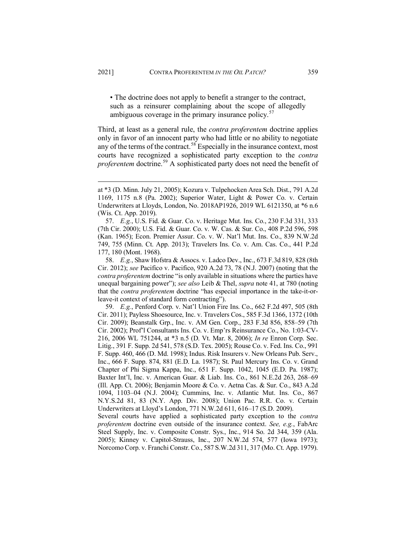• The doctrine does not apply to benefit a stranger to the contract, such as a reinsurer complaining about the scope of allegedly ambiguous coverage in the primary insurance policy.<sup>[57](#page-15-0)</sup>

Third, at least as a general rule, the *contra proferentem* doctrine applies only in favor of an innocent party who had little or no ability to negotiate any of the terms of the contract.<sup>[58](#page-15-1)</sup> Especially in the insurance context, most courts have recognized a sophisticated party exception to the *contra proferentem* doctrine.<sup>[59](#page-15-2)</sup> A sophisticated party does not need the benefit of

<span id="page-15-1"></span>58. *E.g.*, Shaw Hofstra & Assocs. v. Ladco Dev., Inc., 673 F.3d 819, 828 (8th Cir. 2012); *see* Pacifico v. Pacifico, 920 A.2d 73, 78 (N.J. 2007) (noting that the *contra proferentem* doctrine "is only available in situations where the parties have unequal bargaining power"); *see also* Leib & Thel, *supra* note 41, at 780 (noting that the *contra proferentem* doctrine "has especial importance in the take-it-orleave-it context of standard form contracting").

<span id="page-15-2"></span>59. *E.g.*, Penford Corp. v. Nat'l Union Fire Ins. Co., 662 F.2d 497, 505 (8th Cir. 2011); Payless Shoesource, Inc. v. Travelers Cos., 585 F.3d 1366, 1372 (10th Cir. 2009); Beanstalk Grp., Inc. v. AM Gen. Corp., 283 F.3d 856, 858–59 (7th Cir. 2002); Prof'l Consultants Ins. Co. v. Emp'rs Reinsurance Co., No. 1:03-CV-216, 2006 WL 751244, at \*3 n.5 (D. Vt. Mar. 8, 2006); *In re* Enron Corp. Sec. Litig., 391 F. Supp. 2d 541, 578 (S.D. Tex. 2005); Rouse Co. v. Fed. Ins. Co., 991 F. Supp. 460, 466 (D. Md. 1998); Indus. Risk Insurers v. New Orleans Pub. Serv., Inc., 666 F. Supp. 874, 881 (E.D. La. 1987); St. Paul Mercury Ins. Co. v. Grand Chapter of Phi Sigma Kappa, Inc., 651 F. Supp. 1042, 1045 (E.D. Pa. 1987); Baxter Int'l, Inc. v. American Guar. & Liab. Ins. Co., 861 N.E.2d 263, 268–69 (Ill. App. Ct. 2006); Benjamin Moore & Co. v. Aetna Cas. & Sur. Co., 843 A.2d 1094, 1103–04 (N.J. 2004); Cummins, Inc. v. Atlantic Mut. Ins. Co., 867 N.Y.S.2d 81, 83 (N.Y. App. Div. 2008); Union Pac. R.R. Co. v. Certain Underwriters at Lloyd's London, 771 N.W.2d 611, 616–17 (S.D. 2009).

Several courts have applied a sophisticated party exception to the *contra proferentem* doctrine even outside of the insurance context. *See, e.g.*, FabArc Steel Supply, Inc. v. Composite Constr. Sys., Inc., 914 So. 2d 344, 359 (Ala. 2005); Kinney v. Capitol-Strauss, Inc., 207 N.W.2d 574, 577 (Iowa 1973); Norcomo Corp. v. Franchi Constr. Co., 587 S.W.2d 311, 317 (Mo. Ct. App. 1979).

at \*3 (D. Minn. July 21, 2005); Kozura v. Tulpehocken Area Sch. Dist., 791 A.2d 1169, 1175 n.8 (Pa. 2002); Superior Water, Light & Power Co. v. Certain Underwriters at Lloyds, London, No. 2018AP1926, 2019 WL 6121350, at \*6 n.6 (Wis. Ct. App. 2019).

<span id="page-15-0"></span><sup>57.</sup> *E.g.*, U.S. Fid. & Guar. Co. v. Heritage Mut. Ins. Co., 230 F.3d 331, 333 (7th Cir. 2000); U.S. Fid. & Guar. Co. v. W. Cas. & Sur. Co., 408 P.2d 596, 598 (Kan. 1965); Econ. Premier Assur. Co. v. W. Nat'l Mut. Ins. Co., 839 N.W.2d 749, 755 (Minn. Ct. App. 2013); Travelers Ins. Co. v. Am. Cas. Co., 441 P.2d 177, 180 (Mont. 1968).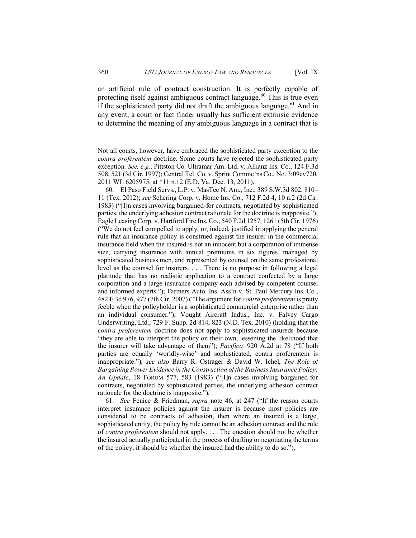an artificial rule of contract construction: It is perfectly capable of protecting itself against ambiguous contract language.<sup>[60](#page-16-0)</sup> This is true even if the sophisticated party did not draft the ambiguous language.<sup>[61](#page-16-1)</sup> And in any event, a court or fact finder usually has sufficient extrinsic evidence to determine the meaning of any ambiguous language in a contract that is

<span id="page-16-0"></span>60. El Paso Field Servs., L.P. v. MasTec N. Am., Inc., 389 S.W.3d 802, 810– 11 (Tex. 2012); *see* Schering Corp. v. Home Ins. Co., 712 F.2d 4, 10 n.2 (2d Cir. 1983) ("[I]n cases involving bargained-for contracts, negotiated by sophisticated parties, the underlying adhesion contract rationale for the doctrine is inapposite."); Eagle Leasing Corp. v. Hartford Fire Ins. Co., 540 F.2d 1257, 1261 (5th Cir. 1976) ("We do not feel compelled to apply, or, indeed, justified in applying the general rule that an insurance policy is construed against the insurer in the commercial insurance field when the insured is not an innocent but a corporation of immense size, carrying insurance with annual premiums in six figures, managed by sophisticated business men, and represented by counsel on the same professional level as the counsel for insurers. . . . There is no purpose in following a legal platitude that has no realistic application to a contract confected by a large corporation and a large insurance company each advised by competent counsel and informed experts."); Farmers Auto. Ins. Ass'n v. St. Paul Mercury Ins. Co., 482 F.3d 976, 977 (7th Cir. 2007) ("The argument for *contra proferentem* is pretty feeble when the policyholder is a sophisticated commercial enterprise rather than an individual consumer."); Vought Aircraft Indus., Inc. v. Falvey Cargo Underwriting, Ltd., 729 F. Supp. 2d 814, 823 (N.D. Tex. 2010) (holding that the *contra proferentem* doctrine does not apply to sophisticated insureds because "they are able to interpret the policy on their own, lessening the likelihood that the insurer will take advantage of them"); *Pacifico,* 920 A.2d at 78 ("If both parties are equally 'worldly-wise' and sophisticated, contra proferentem is inappropriate."); *see also* Barry R. Ostrager & David W. Ichel, *The Role of Bargaining Power Evidence in the Construction of the Business Insurance Policy: An Update*, 18 FORUM 577, 583 (1983) ("[I]n cases involving bargained-for contracts, negotiated by sophisticated parties, the underlying adhesion contract rationale for the doctrine is inapposite.").

<span id="page-16-1"></span>61. *See* Fenice & Friedman, *supra* note 46, at 247 ("If the reason courts interpret insurance policies against the insurer is because most policies are considered to be contracts of adhesion, then where an insured is a large, sophisticated entity, the policy by rule cannot be an adhesion contract and the rule of *contra proferentem* should not apply. . . . The question should not be whether the insured actually participated in the process of drafting or negotiating the terms of the policy; it should be whether the insured had the ability to do so.").

Not all courts, however, have embraced the sophisticated party exception to the *contra proferentem* doctrine. Some courts have rejected the sophisticated party exception. *See, e.g.*, Pittston Co. Ultramar Am. Ltd. v. Allianz Ins. Co., 124 F.3d 508, 521 (3d Cir. 1997); Central Tel. Co. v. Sprint Commc'ns Co., No. 3:09cv720, 2011 WL 6205975, at \*11 n.12 (E.D. Va. Dec. 13, 2011).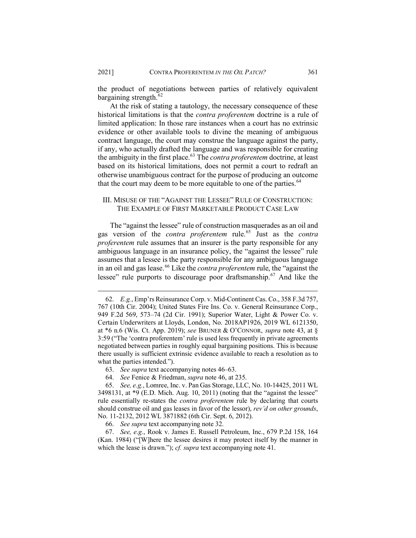the product of negotiations between parties of relatively equivalent bargaining strength.<sup>[62](#page-17-0)</sup>

At the risk of stating a tautology, the necessary consequence of these historical limitations is that the *contra proferentem* doctrine is a rule of limited application: In those rare instances when a court has no extrinsic evidence or other available tools to divine the meaning of ambiguous contract language, the court may construe the language against the party, if any, who actually drafted the language and was responsible for creating the ambiguity in the first place.[63](#page-17-1) The *contra proferentem* doctrine, at least based on its historical limitations, does not permit a court to redraft an otherwise unambiguous contract for the purpose of producing an outcome that the court may deem to be more equitable to one of the parties.  $64$ 

# III. MISUSE OF THE "AGAINST THE LESSEE" RULE OF CONSTRUCTION: THE EXAMPLE OF FIRST MARKETABLE PRODUCT CASE LAW

The "against the lessee" rule of construction masquerades as an oil and gas version of the *contra proferentem* rule.[65](#page-17-3) Just as the *contra proferentem* rule assumes that an insurer is the party responsible for any ambiguous language in an insurance policy, the "against the lessee" rule assumes that a lessee is the party responsible for any ambiguous language in an oil and gas lease.<sup>[66](#page-17-4)</sup> Like the *contra proferentem* rule, the "against the lessee" rule purports to discourage poor draftsmanship.[67](#page-17-5) And like the

<span id="page-17-0"></span><sup>62.</sup> *E.g.*, Emp'rs Reinsurance Corp. v. Mid-Continent Cas. Co., 358 F.3d 757, 767 (10th Cir. 2004); United States Fire Ins. Co. v. General Reinsurance Corp., 949 F.2d 569, 573–74 (2d Cir. 1991); Superior Water, Light & Power Co. v. Certain Underwriters at Lloyds, London, No. 2018AP1926, 2019 WL 6121350, at \*6 n.6 (Wis. Ct. App. 2019); *see* BRUNER & O'CONNOR, *supra* note 43, at § 3:59 ("The 'contra proferentem' rule is used less frequently in private agreements negotiated between parties in roughly equal bargaining positions. This is because there usually is sufficient extrinsic evidence available to reach a resolution as to what the parties intended.").

<sup>63.</sup> *See supra* text accompanying notes 46–63.

<sup>64.</sup> *See* Fenice & Friedman, *supra* note 46, at 235.

<span id="page-17-3"></span><span id="page-17-2"></span><span id="page-17-1"></span><sup>65.</sup> *See, e.g.*, Lomree, Inc. v. Pan Gas Storage, LLC, No. 10-14425, 2011 WL 3498131, at \*9 (E.D. Mich. Aug. 10, 2011) (noting that the "against the lessee" rule essentially re-states the *contra proferentem* rule by declaring that courts should construe oil and gas leases in favor of the lessor), *rev'd on other grounds*, No. 11-2132, 2012 WL 3871882 (6th Cir. Sept. 6, 2012).

<sup>66.</sup> *See supra* text accompanying note 32.

<span id="page-17-5"></span><span id="page-17-4"></span><sup>67.</sup> *See, e.g.*, Rook v. James E. Russell Petroleum, Inc., 679 P.2d 158, 164 (Kan. 1984) ("[W]here the lessee desires it may protect itself by the manner in which the lease is drawn."); *cf. supra* text accompanying note 41.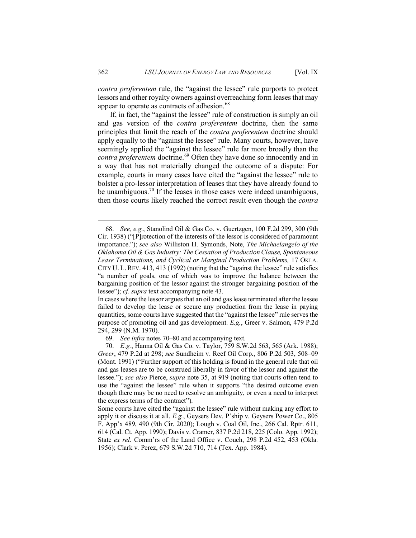*contra proferentem* rule, the "against the lessee" rule purports to protect lessors and other royalty owners against overreaching form leases that may appear to operate as contracts of adhesion.<sup>[68](#page-18-0)</sup>

If, in fact, the "against the lessee" rule of construction is simply an oil and gas version of the *contra proferentem* doctrine, then the same principles that limit the reach of the *contra proferentem* doctrine should apply equally to the "against the lessee" rule. Many courts, however, have seemingly applied the "against the lessee" rule far more broadly than the *contra proferentem* doctrine.<sup>[69](#page-18-1)</sup> Often they have done so innocently and in a way that has not materially changed the outcome of a dispute: For example, courts in many cases have cited the "against the lessee" rule to bolster a pro-lessor interpretation of leases that they have already found to be unambiguous.<sup>[70](#page-18-2)</sup> If the leases in those cases were indeed unambiguous, then those courts likely reached the correct result even though the *contra*

<span id="page-18-0"></span><sup>68.</sup> *See, e.g.*, Stanolind Oil & Gas Co. v. Guertzgen, 100 F.2d 299, 300 (9th Cir. 1938) ("[P]rotection of the interests of the lessor is considered of paramount importance."); *see also* Williston H. Symonds, Note, *The Michaelangelo of the Oklahoma Oil & Gas Industry: The Cessation of Production Clause, Spontaneous Lease Terminations, and Cyclical or Marginal Production Problems,* 17 OKLA. CITY U. L. REV. 413, 413 (1992) (noting that the "against the lessee" rule satisfies "a number of goals, one of which was to improve the balance between the bargaining position of the lessor against the stronger bargaining position of the lessee"); *cf. supra* text accompanying note 43.

In cases where the lessor argues that an oil and gas lease terminated after the lessee failed to develop the lease or secure any production from the lease in paying quantities, some courts have suggested that the "against the lessee" rule serves the purpose of promoting oil and gas development. *E.g.*, Greer v. Salmon, 479 P.2d 294, 299 (N.M. 1970).

<sup>69.</sup> *See infra* notes 70–80 and accompanying text.

<span id="page-18-2"></span><span id="page-18-1"></span><sup>70.</sup> *E.g.*, Hanna Oil & Gas Co. v. Taylor, 759 S.W.2d 563, 565 (Ark. 1988); *Greer*, 479 P.2d at 298; *see* Sundheim v. Reef Oil Corp., 806 P.2d 503, 508–09 (Mont. 1991) ("Further support of this holding is found in the general rule that oil and gas leases are to be construed liberally in favor of the lessor and against the lessee."); *see also* Pierce, *supra* note 35, at 919 (noting that courts often tend to use the "against the lessee" rule when it supports "the desired outcome even though there may be no need to resolve an ambiguity, or even a need to interpret the express terms of the contract").

Some courts have cited the "against the lessee" rule without making any effort to apply it or discuss it at all. *E.g.*, Geysers Dev. P'ship v. Geysers Power Co., 805 F. App'x 489, 490 (9th Cir. 2020); Lough v. Coal Oil, Inc., 266 Cal. Rptr. 611, 614 (Cal. Ct. App. 1990); Davis v. Cramer, 837 P.2d 218, 225 (Colo. App. 1992); State *ex rel.* Comm'rs of the Land Office v. Couch, 298 P.2d 452, 453 (Okla. 1956); Clark v. Perez, 679 S.W.2d 710, 714 (Tex. App. 1984).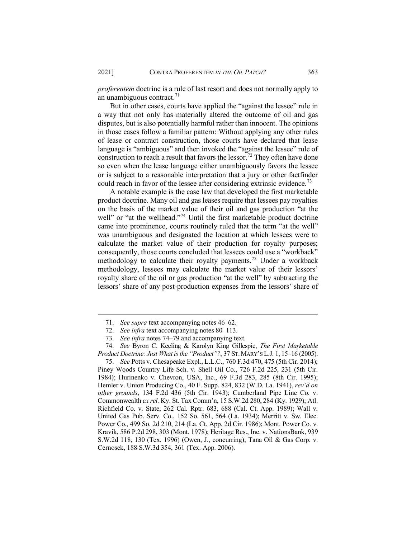*proferentem* doctrine is a rule of last resort and does not normally apply to an unambiguous contract. $71$ 

But in other cases, courts have applied the "against the lessee" rule in a way that not only has materially altered the outcome of oil and gas disputes, but is also potentially harmful rather than innocent. The opinions in those cases follow a familiar pattern: Without applying any other rules of lease or contract construction, those courts have declared that lease language is "ambiguous" and then invoked the "against the lessee" rule of construction to reach a result that favors the lessor.<sup>[72](#page-19-1)</sup> They often have done so even when the lease language either unambiguously favors the lessee or is subject to a reasonable interpretation that a jury or other factfinder could reach in favor of the lessee after considering extrinsic evidence.<sup>[73](#page-19-2)</sup>

A notable example is the case law that developed the first marketable product doctrine. Many oil and gas leases require that lessees pay royalties on the basis of the market value of their oil and gas production "at the well" or "at the wellhead."<sup>[74](#page-19-3)</sup> Until the first marketable product doctrine came into prominence, courts routinely ruled that the term "at the well" was unambiguous and designated the location at which lessees were to calculate the market value of their production for royalty purposes; consequently, those courts concluded that lessees could use a "workback" methodology to calculate their royalty payments.<sup>[75](#page-19-4)</sup> Under a workback methodology, lessees may calculate the market value of their lessors' royalty share of the oil or gas production "at the well" by subtracting the lessors' share of any post-production expenses from the lessors' share of

<sup>71.</sup> *See supra* text accompanying notes 46–62.

<sup>72.</sup> *See infra* text accompanying notes 80–113.

<sup>73.</sup> *See infra* notes 74–79 and accompanying text.

<span id="page-19-3"></span><span id="page-19-2"></span><span id="page-19-1"></span><span id="page-19-0"></span><sup>74.</sup> *See* Byron C. Keeling & Karolyn King Gillespie, *The First Marketable Product Doctrine: Just What is the "Product"?*, 37 ST.MARY'S L.J. 1, 15–16 (2005).

<span id="page-19-4"></span><sup>75.</sup> *See* Potts v. Chesapeake Expl., L.L.C., 760 F.3d 470, 475 (5th Cir. 2014); Piney Woods Country Life Sch. v. Shell Oil Co., 726 F.2d 225, 231 (5th Cir. 1984); Hurinenko v. Chevron, USA, Inc., 69 F.3d 283, 285 (8th Cir. 1995); Hemler v. Union Producing Co., 40 F. Supp. 824, 832 (W.D. La. 1941), *rev'd on other grounds*, 134 F.2d 436 (5th Cir. 1943); Cumberland Pipe Line Co. v. Commonwealth *ex rel.* Ky. St. Tax Comm'n, 15 S.W.2d 280, 284 (Ky. 1929); Atl. Richfield Co. v. State, 262 Cal. Rptr. 683, 688 (Cal. Ct. App. 1989); Wall v. United Gas Pub. Serv. Co., 152 So. 561, 564 (La. 1934); Merritt v. Sw. Elec. Power Co., 499 So. 2d 210, 214 (La. Ct. App. 2d Cir. 1986); Mont. Power Co. v. Kravik, 586 P.2d 298, 303 (Mont. 1978); Heritage Res., Inc. v. NationsBank, 939 S.W.2d 118, 130 (Tex. 1996) (Owen, J., concurring); Tana Oil & Gas Corp. v. Cernosek, 188 S.W.3d 354, 361 (Tex. App. 2006).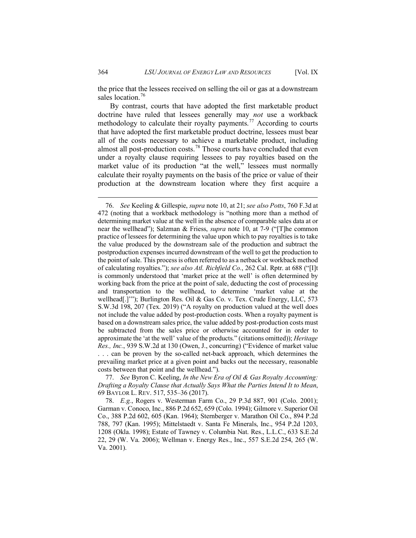the price that the lessees received on selling the oil or gas at a downstream sales location.<sup>[76](#page-20-0)</sup>

By contrast, courts that have adopted the first marketable product doctrine have ruled that lessees generally may *not* use a workback methodology to calculate their royalty payments.<sup>[77](#page-20-1)</sup> According to courts that have adopted the first marketable product doctrine, lessees must bear all of the costs necessary to achieve a marketable product, including almost all post-production costs.<sup>[78](#page-20-2)</sup> Those courts have concluded that even under a royalty clause requiring lessees to pay royalties based on the market value of its production "at the well," lessees must normally calculate their royalty payments on the basis of the price or value of their production at the downstream location where they first acquire a

<span id="page-20-1"></span>77. *See* Byron C. Keeling, *In the New Era of Oil & Gas Royalty Accounting: Drafting a Royalty Clause that Actually Says What the Parties Intend It to Mean*, 69 BAYLOR L. REV. 517, 535–36 (2017).

<span id="page-20-0"></span><sup>76.</sup> *See* Keeling & Gillespie, *supra* note 10, at 21; *see also Potts*, 760 F.3d at 472 (noting that a workback methodology is "nothing more than a method of determining market value at the well in the absence of comparable sales data at or near the wellhead"); Salzman & Friess, *supra* note 10, at 7-9 ("[T]he common practice of lessees for determining the value upon which to pay royalties is to take the value produced by the downstream sale of the production and subtract the postproduction expenses incurred downstream of the well to get the production to the point of sale. This process is often referred to as a netback or workback method of calculating royalties."); *see also Atl. Richfield Co.*, 262 Cal. Rptr. at 688 ("[I]t is commonly understood that 'market price at the well' is often determined by working back from the price at the point of sale, deducting the cost of processing and transportation to the wellhead, to determine 'market value at the wellhead[.]'"); Burlington Res. Oil & Gas Co. v. Tex. Crude Energy, LLC, 573 S.W.3d 198, 207 (Tex. 2019) ("A royalty on production valued at the well does not include the value added by post-production costs. When a royalty payment is based on a downstream sales price, the value added by post-production costs must be subtracted from the sales price or otherwise accounted for in order to approximate the 'at the well' value of the products." (citations omitted)); *Heritage Res., Inc.*, 939 S.W.2d at 130 (Owen, J., concurring) ("Evidence of market value . . . can be proven by the so-called net-back approach, which determines the prevailing market price at a given point and backs out the necessary, reasonable costs between that point and the wellhead.").

<span id="page-20-2"></span><sup>78.</sup> *E.g.*, Rogers v. Westerman Farm Co., 29 P.3d 887, 901 (Colo. 2001); Garman v. Conoco, Inc., 886 P.2d 652, 659 (Colo. 1994); Gilmore v. Superior Oil Co., 388 P.2d 602, 605 (Kan. 1964); Sternberger v. Marathon Oil Co., 894 P.2d 788, 797 (Kan. 1995); Mittelstaedt v. Santa Fe Minerals, Inc., 954 P.2d 1203, 1208 (Okla. 1998); Estate of Tawney v. Columbia Nat. Res., L.L.C., 633 S.E.2d 22, 29 (W. Va. 2006); Wellman v. Energy Res., Inc., 557 S.E.2d 254, 265 (W. Va. 2001).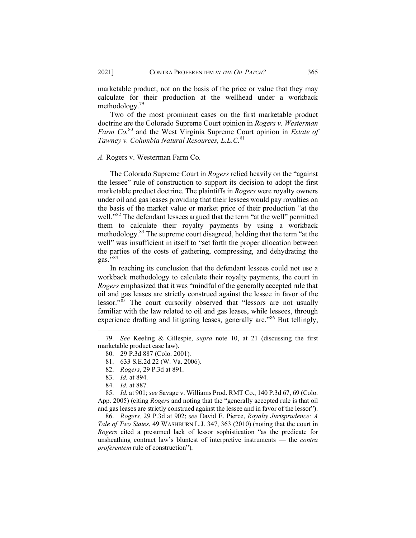marketable product, not on the basis of the price or value that they may calculate for their production at the wellhead under a workback methodology.<sup>[79](#page-21-0)</sup>

Two of the most prominent cases on the first marketable product doctrine are the Colorado Supreme Court opinion in *Rogers v. Westerman Farm Co.*[80](#page-21-1) and the West Virginia Supreme Court opinion in *Estate of Tawney v. Columbia Natural Resources, L.L.C.*[81](#page-21-2)

#### *A.* Rogers v. Westerman Farm Co.

The Colorado Supreme Court in *Rogers* relied heavily on the "against the lessee" rule of construction to support its decision to adopt the first marketable product doctrine. The plaintiffs in *Rogers* were royalty owners under oil and gas leases providing that their lessees would pay royalties on the basis of the market value or market price of their production "at the well."<sup>[82](#page-21-3)</sup> The defendant lessees argued that the term "at the well" permitted them to calculate their royalty payments by using a workback methodology.<sup>[83](#page-21-4)</sup> The supreme court disagreed, holding that the term "at the well" was insufficient in itself to "set forth the proper allocation between the parties of the costs of gathering, compressing, and dehydrating the gas. $\overline{5}$ ,[84](#page-21-5)

In reaching its conclusion that the defendant lessees could not use a workback methodology to calculate their royalty payments, the court in *Rogers* emphasized that it was "mindful of the generally accepted rule that oil and gas leases are strictly construed against the lessee in favor of the lessor."<sup>[85](#page-21-6)</sup> The court cursorily observed that "lessors are not usually familiar with the law related to oil and gas leases, while lessees, through experience drafting and litigating leases, generally are."<sup>[86](#page-21-7)</sup> But tellingly,

<span id="page-21-7"></span>86. *Rogers,* 29 P.3d at 902; *see* David E. Pierce, *Royalty Jurisprudence: A Tale of Two States*, 49 WASHBURN L.J. 347, 363 (2010) (noting that the court in *Rogers* cited a presumed lack of lessor sophistication "as the predicate for unsheathing contract law's bluntest of interpretive instruments — the *contra proferentem* rule of construction").

<span id="page-21-2"></span><span id="page-21-1"></span><span id="page-21-0"></span><sup>79.</sup> *See* Keeling & Gillespie, *supra* note 10, at 21 (discussing the first marketable product case law).

<sup>80.</sup> 29 P.3d 887 (Colo. 2001).

<sup>81.</sup> 633 S.E.2d 22 (W. Va. 2006).

<sup>82.</sup> *Rogers*, 29 P.3d at 891.

<sup>83.</sup> *Id.* at 894.

<sup>84.</sup> *Id.* at 887.

<span id="page-21-6"></span><span id="page-21-5"></span><span id="page-21-4"></span><span id="page-21-3"></span><sup>85.</sup> *Id.* at 901; *see* Savage v. Williams Prod. RMT Co., 140 P.3d 67, 69 (Colo. App. 2005) (citing *Rogers* and noting that the "generally accepted rule is that oil and gas leases are strictly construed against the lessee and in favor of the lessor").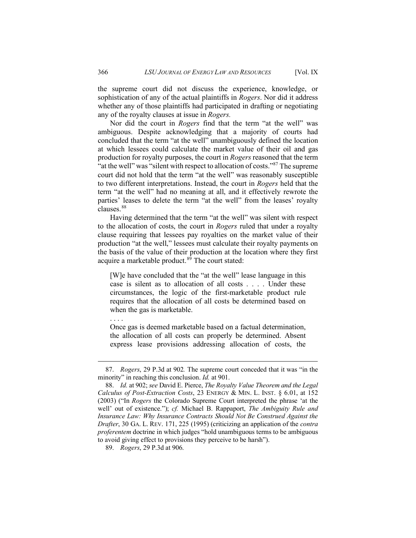the supreme court did not discuss the experience, knowledge, or sophistication of any of the actual plaintiffs in *Rogers*. Nor did it address whether any of those plaintiffs had participated in drafting or negotiating any of the royalty clauses at issue in *Rogers.*

Nor did the court in *Rogers* find that the term "at the well" was ambiguous. Despite acknowledging that a majority of courts had concluded that the term "at the well" unambiguously defined the location at which lessees could calculate the market value of their oil and gas production for royalty purposes, the court in *Rogers* reasoned that the term "at the well" was "silent with respect to allocation of costs."<sup>[87](#page-22-0)</sup> The supreme court did not hold that the term "at the well" was reasonably susceptible to two different interpretations. Instead, the court in *Rogers* held that the term "at the well" had no meaning at all, and it effectively rewrote the parties' leases to delete the term "at the well" from the leases' royalty clauses.<sup>[88](#page-22-1)</sup>

Having determined that the term "at the well" was silent with respect to the allocation of costs, the court in *Rogers* ruled that under a royalty clause requiring that lessees pay royalties on the market value of their production "at the well," lessees must calculate their royalty payments on the basis of the value of their production at the location where they first acquire a marketable product.<sup>[89](#page-22-2)</sup> The court stated:

[W]e have concluded that the "at the well" lease language in this case is silent as to allocation of all costs . . . . Under these circumstances, the logic of the first-marketable product rule requires that the allocation of all costs be determined based on when the gas is marketable.

Once gas is deemed marketable based on a factual determination, the allocation of all costs can properly be determined. Absent express lease provisions addressing allocation of costs, the

. . . .

<span id="page-22-0"></span><sup>87.</sup> *Rogers*, 29 P.3d at 902*.* The supreme court conceded that it was "in the minority" in reaching this conclusion. *Id.* at 901.

<span id="page-22-1"></span><sup>88.</sup> *Id.* at 902; *see* David E. Pierce, *The Royalty Value Theorem and the Legal Calculus of Post-Extraction Costs*, 23 ENERGY & MIN. L. INST. § 6.01, at 152 (2003) ("In *Rogers* the Colorado Supreme Court interpreted the phrase 'at the well' out of existence."); *cf.* Michael B. Rappaport, *The Ambiguity Rule and Insurance Law: Why Insurance Contracts Should Not Be Construed Against the Drafter*, 30 GA. L. REV. 171, 225 (1995) (criticizing an application of the *contra proferentem* doctrine in which judges "hold unambiguous terms to be ambiguous to avoid giving effect to provisions they perceive to be harsh").

<span id="page-22-2"></span><sup>89.</sup> *Rogers*, 29 P.3d at 906.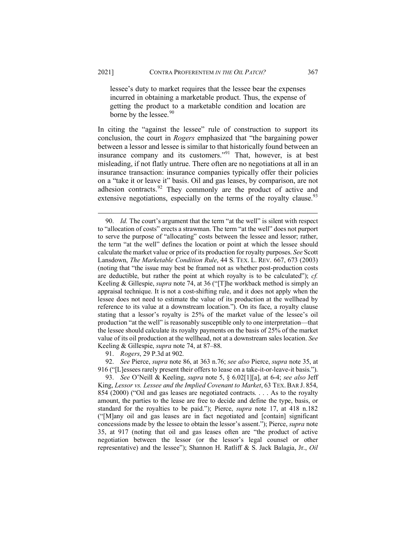lessee's duty to market requires that the lessee bear the expenses incurred in obtaining a marketable product. Thus, the expense of getting the product to a marketable condition and location are borne by the lessee.<sup>[90](#page-23-0)</sup>

In citing the "against the lessee" rule of construction to support its conclusion, the court in *Rogers* emphasized that "the bargaining power between a lessor and lessee is similar to that historically found between an insurance company and its customers."<sup>[91](#page-23-1)</sup> That, however, is at best misleading, if not flatly untrue. There often are no negotiations at all in an insurance transaction: insurance companies typically offer their policies on a "take it or leave it" basis. Oil and gas leases, by comparison, are not adhesion contracts.<sup>[92](#page-23-2)</sup> They commonly are the product of active and extensive negotiations, especially on the terms of the royalty clause.<sup>[93](#page-23-3)</sup>

91. *Rogers*, 29 P.3d at 902.

<span id="page-23-2"></span><span id="page-23-1"></span>92. *See* Pierce, *supra* note 86, at 363 n.76; *see also* Pierce, *supra* note 35, at 916 ("[L]essees rarely present their offers to lease on a take-it-or-leave-it basis.").

<span id="page-23-3"></span>93. *See* O'Neill & Keeling, *supra* note 5, § 6.02[1][a], at 6-4; *see also* Jeff King, *Lessor vs. Lessee and the Implied Covenant to Market*, 63 TEX. BAR J. 854, 854 (2000) ("Oil and gas leases are negotiated contracts. . . . As to the royalty amount, the parties to the lease are free to decide and define the type, basis, or standard for the royalties to be paid."); Pierce, *supra* note 17, at 418 n.182 ("[M]any oil and gas leases are in fact negotiated and [contain] significant concessions made by the lessee to obtain the lessor's assent."); Pierce, *supra* note 35, at 917 (noting that oil and gas leases often are "the product of active negotiation between the lessor (or the lessor's legal counsel or other representative) and the lessee"); Shannon H. Ratliff & S. Jack Balagia, Jr., *Oil* 

<span id="page-23-0"></span><sup>90.</sup> *Id.* The court's argument that the term "at the well" is silent with respect to "allocation of costs" erects a strawman. The term "at the well" does not purport to serve the purpose of "allocating" costs between the lessee and lessor; rather, the term "at the well" defines the location or point at which the lessee should calculate the market value or price of its production for royalty purposes. *See* Scott Lansdown, *The Marketable Condition Rule*, 44 S. TEX. L. REV. 667, 673 (2003) (noting that "the issue may best be framed not as whether post-production costs are deductible, but rather the point at which royalty is to be calculated"); *cf.* Keeling & Gillespie, *supra* note 74, at 36 ("[T]he workback method is simply an appraisal technique. It is not a cost-shifting rule, and it does not apply when the lessee does not need to estimate the value of its production at the wellhead by reference to its value at a downstream location."). On its face, a royalty clause stating that a lessor's royalty is 25% of the market value of the lessee's oil production "at the well" is reasonably susceptible only to one interpretation—that the lessee should calculate its royalty payments on the basis of 25% of the market value of its oil production at the wellhead, not at a downstream sales location. *See* Keeling & Gillespie, *supra* note 74, at 87–88.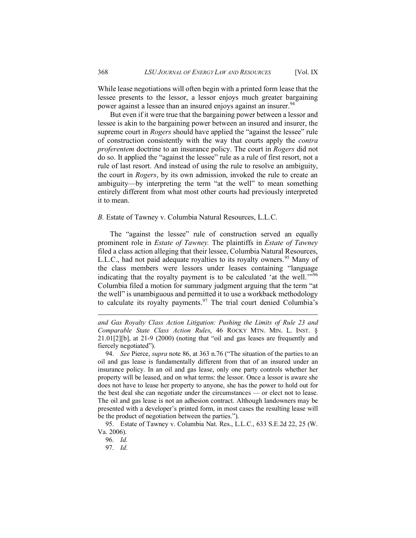While lease negotiations will often begin with a printed form lease that the lessee presents to the lessor, a lessor enjoys much greater bargaining power against a lessee than an insured enjoys against an insurer.<sup>[94](#page-24-0)</sup>

But even if it were true that the bargaining power between a lessor and lessee is akin to the bargaining power between an insured and insurer, the supreme court in *Rogers* should have applied the "against the lessee" rule of construction consistently with the way that courts apply the *contra proferentem* doctrine to an insurance policy. The court in *Rogers* did not do so. It applied the "against the lessee" rule as a rule of first resort, not a rule of last resort. And instead of using the rule to resolve an ambiguity, the court in *Rogers*, by its own admission, invoked the rule to create an ambiguity—by interpreting the term "at the well" to mean something entirely different from what most other courts had previously interpreted it to mean.

#### *B.* Estate of Tawney v. Columbia Natural Resources, L.L.C.

The "against the lessee" rule of construction served an equally prominent role in *Estate of Tawney.* The plaintiffs in *Estate of Tawney* filed a class action alleging that their lessee, Columbia Natural Resources, L.L.C., had not paid adequate royalties to its royalty owners.<sup>[95](#page-24-1)</sup> Many of the class members were lessors under leases containing "language indicating that the royalty payment is to be calculated 'at the well."<sup>[96](#page-24-2)</sup> Columbia filed a motion for summary judgment arguing that the term "at the well" is unambiguous and permitted it to use a workback methodology to calculate its royalty payments.<sup>[97](#page-24-3)</sup> The trial court denied Columbia's

*and Gas Royalty Class Action Litigation: Pushing the Limits of Rule 23 and Comparable State Class Action Rules*, 46 ROCKY MTN. MIN. L. INST. § 21.01[2][b], at 21-9 (2000) (noting that "oil and gas leases are frequently and fiercely negotiated").

<span id="page-24-0"></span>94. *See* Pierce, *supra* note 86, at 363 n.76 ("The situation of the parties to an oil and gas lease is fundamentally different from that of an insured under an insurance policy. In an oil and gas lease, only one party controls whether her property will be leased, and on what terms: the lessor. Once a lessor is aware she does not have to lease her property to anyone, she has the power to hold out for the best deal she can negotiate under the circumstances — or elect not to lease. The oil and gas lease is not an adhesion contract. Although landowners may be presented with a developer's printed form, in most cases the resulting lease will be the product of negotiation between the parties.").

<span id="page-24-3"></span><span id="page-24-2"></span><span id="page-24-1"></span>95. Estate of Tawney v. Columbia Nat. Res., L.L.C., 633 S.E.2d 22, 25 (W. Va. 2006).

<sup>96.</sup> *Id.*

<sup>97.</sup> *Id.*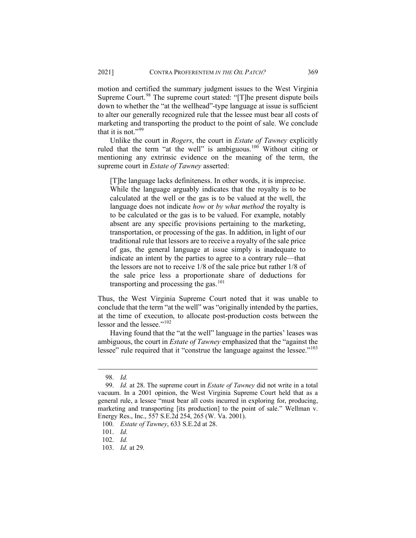motion and certified the summary judgment issues to the West Virginia Supreme Court.<sup>[98](#page-25-0)</sup> The supreme court stated: "[T]he present dispute boils down to whether the "at the wellhead"-type language at issue is sufficient to alter our generally recognized rule that the lessee must bear all costs of marketing and transporting the product to the point of sale. We conclude that it is not." $99$ 

Unlike the court in *Rogers*, the court in *Estate of Tawney* explicitly ruled that the term "at the well" is ambiguous.<sup>[100](#page-25-2)</sup> Without citing or mentioning any extrinsic evidence on the meaning of the term, the supreme court in *Estate of Tawney* asserted:

[T]he language lacks definiteness. In other words, it is imprecise. While the language arguably indicates that the royalty is to be calculated at the well or the gas is to be valued at the well, the language does not indicate *how* or *by what method* the royalty is to be calculated or the gas is to be valued. For example, notably absent are any specific provisions pertaining to the marketing, transportation, or processing of the gas. In addition, in light of our traditional rule that lessors are to receive a royalty of the sale price of gas, the general language at issue simply is inadequate to indicate an intent by the parties to agree to a contrary rule—that the lessors are not to receive 1/8 of the sale price but rather 1/8 of the sale price less a proportionate share of deductions for transporting and processing the gas. $101$ 

Thus, the West Virginia Supreme Court noted that it was unable to conclude that the term "at the well" was "originally intended by the parties, at the time of execution, to allocate post-production costs between the lessor and the lessee."<sup>[102](#page-25-4)</sup>

Having found that the "at the well" language in the parties' leases was ambiguous, the court in *Estate of Tawney* emphasized that the "against the lessee" rule required that it "construe the language against the lessee."<sup>[103](#page-25-5)</sup>

<sup>98.</sup> *Id.*

<span id="page-25-1"></span><span id="page-25-0"></span><sup>99.</sup> *Id.* at 28. The supreme court in *Estate of Tawney* did not write in a total vacuum. In a 2001 opinion, the West Virginia Supreme Court held that as a general rule, a lessee "must bear all costs incurred in exploring for, producing, marketing and transporting [its production] to the point of sale." Wellman v. Energy Res., Inc., 557 S.E.2d 254, 265 (W. Va. 2001).

<span id="page-25-2"></span><sup>100.</sup> *Estate of Tawney*, 633 S.E.2d at 28.

<span id="page-25-3"></span><sup>101.</sup> *Id.*

<span id="page-25-4"></span><sup>102.</sup> *Id.*

<span id="page-25-5"></span><sup>103.</sup> *Id.* at 29.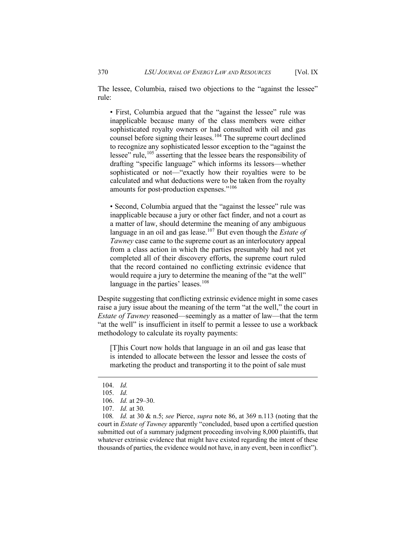The lessee, Columbia, raised two objections to the "against the lessee" rule:

• First, Columbia argued that the "against the lessee" rule was inapplicable because many of the class members were either sophisticated royalty owners or had consulted with oil and gas counsel before signing their leases.<sup>[104](#page-26-0)</sup> The supreme court declined to recognize any sophisticated lessor exception to the "against the lessee" rule,<sup>[105](#page-26-1)</sup> asserting that the lessee bears the responsibility of drafting "specific language" which informs its lessors—whether sophisticated or not—"exactly how their royalties were to be calculated and what deductions were to be taken from the royalty amounts for post-production expenses."<sup>[106](#page-26-2)</sup>

• Second, Columbia argued that the "against the lessee" rule was inapplicable because a jury or other fact finder, and not a court as a matter of law, should determine the meaning of any ambiguous language in an oil and gas lease.[107](#page-26-3) But even though the *Estate of Tawney* case came to the supreme court as an interlocutory appeal from a class action in which the parties presumably had not yet completed all of their discovery efforts, the supreme court ruled that the record contained no conflicting extrinsic evidence that would require a jury to determine the meaning of the "at the well" language in the parties' leases.<sup>[108](#page-26-4)</sup>

Despite suggesting that conflicting extrinsic evidence might in some cases raise a jury issue about the meaning of the term "at the well," the court in *Estate of Tawney* reasoned—seemingly as a matter of law—that the term "at the well" is insufficient in itself to permit a lessee to use a workback methodology to calculate its royalty payments:

[T]his Court now holds that language in an oil and gas lease that is intended to allocate between the lessor and lessee the costs of marketing the product and transporting it to the point of sale must

<span id="page-26-4"></span><span id="page-26-3"></span><span id="page-26-2"></span><span id="page-26-1"></span>108*. Id.* at 30 & n.5; *see* Pierce, *supra* note 86, at 369 n.113 (noting that the court in *Estate of Tawney* apparently "concluded, based upon a certified question submitted out of a summary judgment proceeding involving 8,000 plaintiffs, that whatever extrinsic evidence that might have existed regarding the intent of these thousands of parties, the evidence would not have, in any event, been in conflict").

<span id="page-26-0"></span><sup>104.</sup> *Id.*

<sup>105.</sup> *Id.*

<sup>106.</sup> *Id.* at 29–30.

<sup>107.</sup> *Id.* at 30.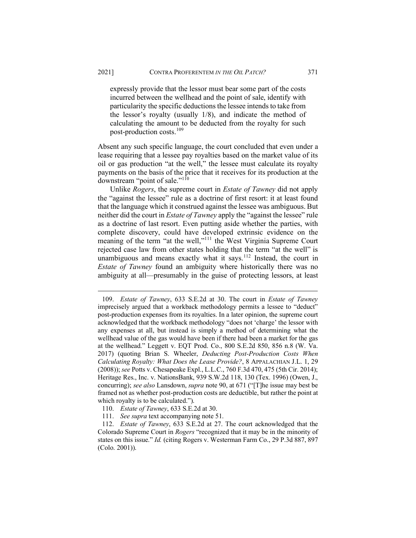expressly provide that the lessor must bear some part of the costs incurred between the wellhead and the point of sale, identify with particularity the specific deductions the lessee intends to take from the lessor's royalty (usually 1/8), and indicate the method of calculating the amount to be deducted from the royalty for such post-production costs.[109](#page-27-0)

Absent any such specific language, the court concluded that even under a lease requiring that a lessee pay royalties based on the market value of its oil or gas production "at the well," the lessee must calculate its royalty payments on the basis of the price that it receives for its production at the downstream "point of sale." $1^{10}$ 

Unlike *Rogers*, the supreme court in *Estate of Tawney* did not apply the "against the lessee" rule as a doctrine of first resort: it at least found that the language which it construed against the lessee was ambiguous. But neither did the court in *Estate of Tawney* apply the "against the lessee" rule as a doctrine of last resort. Even putting aside whether the parties, with complete discovery, could have developed extrinsic evidence on the meaning of the term "at the well,"[111](#page-27-2) the West Virginia Supreme Court rejected case law from other states holding that the term "at the well" is unambiguous and means exactly what it says.<sup>[112](#page-27-3)</sup> Instead, the court in *Estate of Tawney* found an ambiguity where historically there was no ambiguity at all—presumably in the guise of protecting lessors, at least

<span id="page-27-0"></span><sup>109.</sup> *Estate of Tawney*, 633 S.E.2d at 30. The court in *Estate of Tawney* imprecisely argued that a workback methodology permits a lessee to "deduct" post-production expenses from its royalties. In a later opinion, the supreme court acknowledged that the workback methodology "does not 'charge' the lessor with any expenses at all, but instead is simply a method of determining what the wellhead value of the gas would have been if there had been a market for the gas at the wellhead." Leggett v. EQT Prod. Co., 800 S.E.2d 850, 856 n.8 (W. Va. 2017) (quoting Brian S. Wheeler, *Deducting Post-Production Costs When Calculating Royalty: What Does the Lease Provide?*, 8 APPALACHIAN J.L. 1, 29 (2008)); *see* Potts v. Chesapeake Expl., L.L.C., 760 F.3d 470, 475 (5th Cir. 2014); Heritage Res., Inc. v. NationsBank, 939 S.W.2d 118, 130 (Tex. 1996) (Owen, J., concurring); *see also* Lansdown, *supra* note 90, at 671 ("[T]he issue may best be framed not as whether post-production costs are deductible, but rather the point at which royalty is to be calculated.").

<sup>110.</sup> *Estate of Tawney*, 633 S.E.2d at 30.

<sup>111.</sup> *See supra* text accompanying note 51.

<span id="page-27-3"></span><span id="page-27-2"></span><span id="page-27-1"></span><sup>112.</sup> *Estate of Tawney*, 633 S.E.2d at 27. The court acknowledged that the Colorado Supreme Court in *Rogers* "recognized that it may be in the minority of states on this issue." *Id.* (citing Rogers v. Westerman Farm Co., 29 P.3d 887, 897 (Colo. 2001)).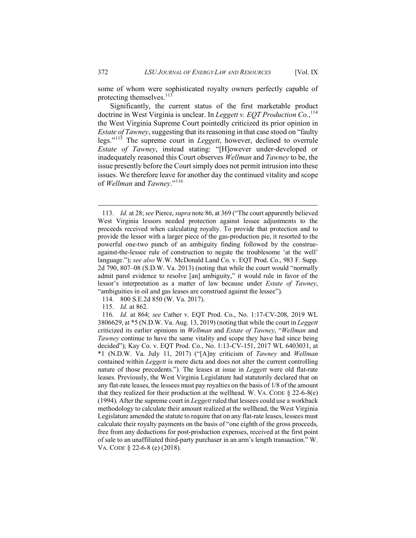some of whom were sophisticated royalty owners perfectly capable of protecting themselves.<sup>[113](#page-28-0)</sup>

Significantly, the current status of the first marketable product doctrine in West Virginia is unclear. In *Leggett v. EQT Production Co.*, [114](#page-28-1) the West Virginia Supreme Court pointedly criticized its prior opinion in *Estate of Tawney*, suggesting that its reasoning in that case stood on "faulty" legs."[115](#page-28-2) The supreme court in *Leggett*, however, declined to overrule *Estate of Tawney*, instead stating: "[H]owever under-developed or inadequately reasoned this Court observes *Wellman* and *Tawney* to be, the issue presently before the Court simply does not permit intrusion into these issues. We therefore leave for another day the continued vitality and scope of *Wellman* and *Tawney*."[116](#page-28-3)

<span id="page-28-0"></span><sup>113.</sup> *Id.* at 28; *see* Pierce, *supra* note 86, at 369 ("The court apparently believed West Virginia lessors needed protection against lessee adjustments to the proceeds received when calculating royalty. To provide that protection and to provide the lessor with a larger piece of the gas-production pie, it resorted to the powerful one-two punch of an ambiguity finding followed by the construeagainst-the-lessee rule of construction to negate the troublesome 'at the well' language."); *see also* W.W. McDonald Land Co. v. EQT Prod. Co., 983 F. Supp. 2d 790, 807–08 (S.D.W. Va. 2013) (noting that while the court would "normally admit parol evidence to resolve [an] ambiguity," it would rule in favor of the lessor's interpretation as a matter of law because under *Estate of Tawney*, "ambiguities in oil and gas leases are construed against the lessee").

<sup>114.</sup> 800 S.E.2d 850 (W. Va. 2017).

<sup>115.</sup> *Id.* at 862.

<span id="page-28-3"></span><span id="page-28-2"></span><span id="page-28-1"></span><sup>116.</sup> *Id.* at 864; *see* Cather v. EQT Prod. Co., No. 1:17-CV-208, 2019 WL 3806629, at \*5 (N.D.W. Va. Aug. 13, 2019) (noting that while the court in *Leggett* criticized its earlier opinions in *Wellman* and *Estate of Tawney*, "*Wellman* and *Tawney* continue to have the same vitality and scope they have had since being decided"); Kay Co. v. EQT Prod. Co., No. 1:13-CV-151, 2017 WL 6403031, at \*1 (N.D.W. Va. July 11, 2017) ("[A]ny criticism of *Tawney* and *Wellman* contained within *Leggett* is mere dicta and does not alter the current controlling nature of those precedents."). The leases at issue in *Leggett* were old flat-rate leases. Previously, the West Virginia Legislature had statutorily declared that on any flat-rate leases, the lessees must pay royalties on the basis of 1/8 of the amount that they realized for their production at the wellhead. W. VA. CODE  $\S$  22-6-8(e) (1994). After the supreme court in *Leggett* ruled that lessees could use a workback methodology to calculate their amount realized at the wellhead, the West Virginia Legislature amended the statute to require that on any flat-rate leases, lessees must calculate their royalty payments on the basis of "one eighth of the gross proceeds, free from any deductions for post-production expenses, received at the first point of sale to an unaffiliated third-party purchaser in an arm's length transaction." W. VA. CODE § 22-6-8 (e) (2018).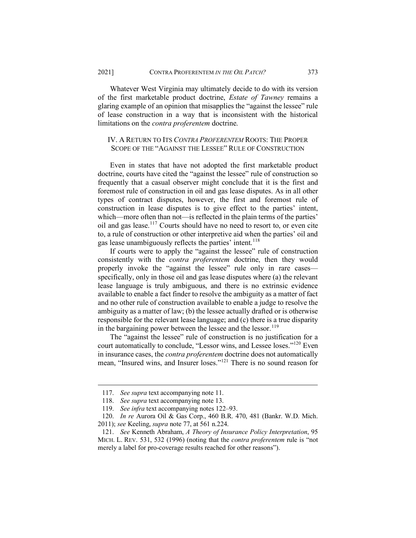Whatever West Virginia may ultimately decide to do with its version of the first marketable product doctrine, *Estate of Tawney* remains a glaring example of an opinion that misapplies the "against the lessee" rule of lease construction in a way that is inconsistent with the historical limitations on the *contra proferentem* doctrine.

# IV. A RETURN TO ITS *CONTRA PROFERENTEM* ROOTS: THE PROPER SCOPE OF THE "AGAINST THE LESSEE" RULE OF CONSTRUCTION

Even in states that have not adopted the first marketable product doctrine, courts have cited the "against the lessee" rule of construction so frequently that a casual observer might conclude that it is the first and foremost rule of construction in oil and gas lease disputes. As in all other types of contract disputes, however, the first and foremost rule of construction in lease disputes is to give effect to the parties' intent, which—more often than not—is reflected in the plain terms of the parties' oil and gas lease.<sup>[117](#page-29-0)</sup> Courts should have no need to resort to, or even cite to, a rule of construction or other interpretive aid when the parties' oil and gas lease unambiguously reflects the parties' intent.<sup>[118](#page-29-1)</sup>

If courts were to apply the "against the lessee" rule of construction consistently with the *contra proferentem* doctrine, then they would properly invoke the "against the lessee" rule only in rare cases specifically, only in those oil and gas lease disputes where (a) the relevant lease language is truly ambiguous, and there is no extrinsic evidence available to enable a fact finder to resolve the ambiguity as a matter of fact and no other rule of construction available to enable a judge to resolve the ambiguity as a matter of law; (b) the lessee actually drafted or is otherwise responsible for the relevant lease language; and (c) there is a true disparity in the bargaining power between the lessee and the lessor.<sup>[119](#page-29-2)</sup>

The "against the lessee" rule of construction is no justification for a court automatically to conclude, "Lessor wins, and Lessee loses."<sup>[120](#page-29-3)</sup> Even in insurance cases, the *contra proferentem* doctrine does not automatically mean, "Insured wins, and Insurer loses."[121](#page-29-4) There is no sound reason for

<sup>117.</sup> *See supra* text accompanying note 11.

<sup>118.</sup> *See supra* text accompanying note 13.

<sup>119.</sup> *See infra* text accompanying notes 122–93.

<span id="page-29-3"></span><span id="page-29-2"></span><span id="page-29-1"></span><span id="page-29-0"></span><sup>120.</sup> *In re* Aurora Oil & Gas Corp., 460 B.R. 470, 481 (Bankr. W.D. Mich. 2011); *see* Keeling, *supra* note 77, at 561 n.224.

<span id="page-29-4"></span><sup>121.</sup> *See* Kenneth Abraham, *A Theory of Insurance Policy Interpretation*, 95 MICH. L. REV. 531, 532 (1996) (noting that the *contra proferentem* rule is "not merely a label for pro-coverage results reached for other reasons").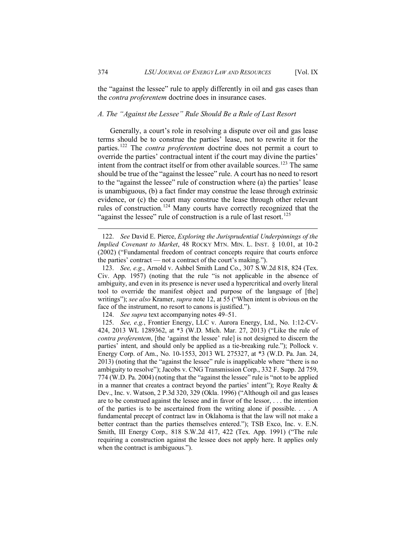the "against the lessee" rule to apply differently in oil and gas cases than the *contra proferentem* doctrine does in insurance cases.

#### *A. The "Against the Lessee" Rule Should Be a Rule of Last Resort*

Generally, a court's role in resolving a dispute over oil and gas lease terms should be to construe the parties' lease, not to rewrite it for the parties.[122](#page-30-0) The *contra proferentem* doctrine does not permit a court to override the parties' contractual intent if the court may divine the parties' intent from the contract itself or from other available sources.<sup>[123](#page-30-1)</sup> The same should be true of the "against the lessee" rule. A court has no need to resort to the "against the lessee" rule of construction where (a) the parties' lease is unambiguous, (b) a fact finder may construe the lease through extrinsic evidence, or (c) the court may construe the lease through other relevant rules of construction.<sup>[124](#page-30-2)</sup> Many courts have correctly recognized that the "against the lessee" rule of construction is a rule of last resort.<sup>[125](#page-30-3)</sup>

<span id="page-30-0"></span><sup>122.</sup> *See* David E. Pierce, *Exploring the Jurisprudential Underpinnings of the Implied Covenant to Market*, 48 ROCKY MTN. MIN. L. INST. § 10.01, at 10-2 (2002) ("Fundamental freedom of contract concepts require that courts enforce the parties' contract — not a contract of the court's making.").

<span id="page-30-1"></span><sup>123.</sup> *See, e.g.*, Arnold v. Ashbel Smith Land Co., 307 S.W.2d 818, 824 (Tex. Civ. App. 1957) (noting that the rule "is not applicable in the absence of ambiguity, and even in its presence is never used a hypercritical and overly literal tool to override the manifest object and purpose of the language of [the] writings"); *see also* Kramer, *supra* note 12, at 55 ("When intent is obvious on the face of the instrument, no resort to canons is justified.").

<sup>124.</sup> *See supra* text accompanying notes 49–51.

<span id="page-30-3"></span><span id="page-30-2"></span><sup>125.</sup> *See, e.g.*, Frontier Energy, LLC v. Aurora Energy, Ltd., No. 1:12-CV-424, 2013 WL 1289362, at \*3 (W.D. Mich. Mar. 27, 2013) ("Like the rule of *contra proferentem*, [the 'against the lessee' rule] is not designed to discern the parties' intent, and should only be applied as a tie-breaking rule."); Pollock v. Energy Corp. of Am., No. 10-1553, 2013 WL 275327, at \*3 (W.D. Pa. Jan. 24, 2013) (noting that the "against the lessee" rule is inapplicable where "there is no ambiguity to resolve"); Jacobs v. CNG Transmission Corp., 332 F. Supp. 2d 759, 774 (W.D. Pa. 2004) (noting that the "against the lessee" rule is "not to be applied in a manner that creates a contract beyond the parties' intent"); Roye Realty & Dev., Inc. v. Watson, 2 P.3d 320, 329 (Okla. 1996) ("Although oil and gas leases are to be construed against the lessee and in favor of the lessor, . . . the intention of the parties is to be ascertained from the writing alone if possible. . . . A fundamental precept of contract law in Oklahoma is that the law will not make a better contract than the parties themselves entered."); TSB Exco, Inc. v. E.N. Smith, III Energy Corp.*,* 818 S.W.2d 417, 422 (Tex. App. 1991) ("The rule requiring a construction against the lessee does not apply here. It applies only when the contract is ambiguous.").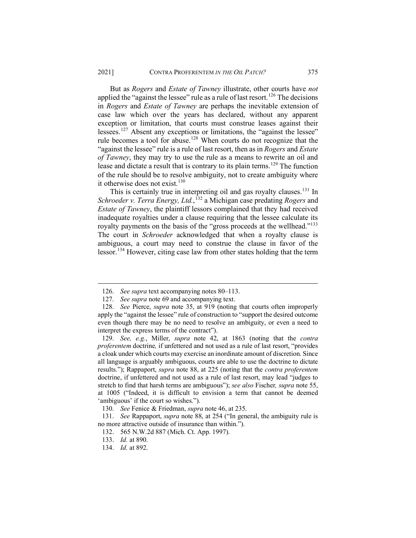But as *Rogers* and *Estate of Tawney* illustrate, other courts have *not* applied the "against the lessee" rule as a rule of last resort.<sup>[126](#page-31-0)</sup> The decisions in *Rogers* and *Estate of Tawney* are perhaps the inevitable extension of case law which over the years has declared, without any apparent exception or limitation, that courts must construe leases against their lessees.<sup>[127](#page-31-1)</sup> Absent any exceptions or limitations, the "against the lessee" rule becomes a tool for abuse.<sup>[128](#page-31-2)</sup> When courts do not recognize that the "against the lessee" rule is a rule of last resort, then as in *Rogers* and *Estate of Tawney*, they may try to use the rule as a means to rewrite an oil and lease and dictate a result that is contrary to its plain terms.<sup>[129](#page-31-3)</sup> The function of the rule should be to resolve ambiguity, not to create ambiguity where it otherwise does not exist.<sup>[130](#page-31-4)</sup>

This is certainly true in interpreting oil and gas royalty clauses.[131](#page-31-5) In *Schroeder v. Terra Energy, Ltd.*, [132](#page-31-6) a Michigan case predating *Rogers* and *Estate of Tawney*, the plaintiff lessors complained that they had received inadequate royalties under a clause requiring that the lessee calculate its royalty payments on the basis of the "gross proceeds at the wellhead."<sup>133</sup> The court in *Schroeder* acknowledged that when a royalty clause is ambiguous, a court may need to construe the clause in favor of the lessor.<sup>[134](#page-31-8)</sup> However, citing case law from other states holding that the term

<sup>126.</sup> *See supra* text accompanying notes 80–113.

<sup>127.</sup> *See supra* note 69 and accompanying text.

<span id="page-31-2"></span><span id="page-31-1"></span><span id="page-31-0"></span><sup>128.</sup> *See* Pierce, *supra* note 35, at 919 (noting that courts often improperly apply the "against the lessee" rule of construction to "support the desired outcome even though there may be no need to resolve an ambiguity, or even a need to interpret the express terms of the contract").

<span id="page-31-3"></span><sup>129.</sup> *See, e.g.*, Miller, *supra* note 42, at 1863 (noting that the *contra proferentem* doctrine*,* if unfettered and not used as a rule of last resort, "provides a cloak under which courts may exercise an inordinate amount of discretion. Since all language is arguably ambiguous, courts are able to use the doctrine to dictate results."); Rappaport, *supra* note 88, at 225 (noting that the *contra proferentem* doctrine, if unfettered and not used as a rule of last resort, may lead "judges to stretch to find that harsh terms are ambiguous"); *see also* Fischer*, supra* note 55, at 1005 ("Indeed, it is difficult to envision a term that cannot be deemed 'ambiguous' if the court so wishes.").

<sup>130.</sup> *See* Fenice & Friedman, *supra* note 46, at 235.

<span id="page-31-7"></span><span id="page-31-6"></span><span id="page-31-5"></span><span id="page-31-4"></span><sup>131.</sup> *See* Rappaport, *supra* note 88, at 254 ("In general, the ambiguity rule is no more attractive outside of insurance than within.").

<sup>132.</sup> 565 N.W.2d 887 (Mich. Ct. App. 1997).

<span id="page-31-8"></span><sup>133.</sup> *Id.* at 890.

<sup>134.</sup> *Id.* at 892.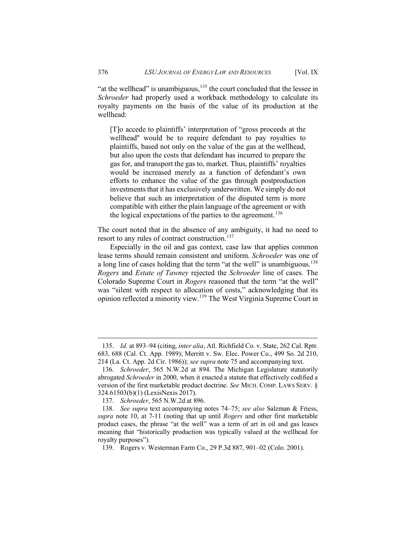"at the wellhead" is unambiguous, $135$  the court concluded that the lessee in *Schroeder* had properly used a workback methodology to calculate its royalty payments on the basis of the value of its production at the wellhead:

[T]o accede to plaintiffs' interpretation of "gross proceeds at the wellhead'' would be to require defendant to pay royalties to plaintiffs, based not only on the value of the gas at the wellhead, but also upon the costs that defendant has incurred to prepare the gas for, and transport the gas to, market. Thus, plaintiffs' royalties would be increased merely as a function of defendant's own efforts to enhance the value of the gas through postproduction investments that it has exclusively underwritten. We simply do not believe that such an interpretation of the disputed term is more compatible with either the plain language of the agreement or with the logical expectations of the parties to the agreement.<sup>[136](#page-32-1)</sup>

The court noted that in the absence of any ambiguity, it had no need to resort to any rules of contract construction.<sup>[137](#page-32-2)</sup>

Especially in the oil and gas context, case law that applies common lease terms should remain consistent and uniform. *Schroeder* was one of a long line of cases holding that the term "at the well" is unambiguous.<sup>[138](#page-32-3)</sup> *Rogers* and *Estate of Tawney* rejected the *Schroeder* line of cases. The Colorado Supreme Court in *Rogers* reasoned that the term "at the well" was "silent with respect to allocation of costs," acknowledging that its opinion reflected a minority view.[139](#page-32-4) The West Virginia Supreme Court in

<span id="page-32-0"></span><sup>135.</sup> *Id.* at 893–94 (citing, *inter alia*, Atl. Richfield Co. v. State, 262 Cal. Rptr. 683, 688 (Cal. Ct. App. 1989); Merritt v. Sw. Elec. Power Co., 499 So. 2d 210, 214 (La. Ct. App. 2d Cir. 1986)); *see supra* note 75 and accompanying text.

<span id="page-32-1"></span><sup>136.</sup> *Schroeder*, 565 N.W.2d at 894. The Michigan Legislature statutorily abrogated *Schroeder* in 2000, when it enacted a statute that effectively codified a version of the first marketable product doctrine. *See* MICH. COMP. LAWS SERV. § 324.61503(b)(1) (LexisNexis 2017).

<sup>137.</sup> *Schroeder*, 565 N.W.2d at 896.

<span id="page-32-3"></span><span id="page-32-2"></span><sup>138.</sup> *See supra* text accompanying notes 74–75; *see also* Salzman & Friess, *supra* note 10, at 7-11 (noting that up until *Rogers* and other first marketable product cases, the phrase "at the well" was a term of art in oil and gas leases meaning that "historically production was typically valued at the wellhead for royalty purposes").

<span id="page-32-4"></span><sup>139.</sup> Rogers v. Westerman Farm Co., 29 P.3d 887, 901–02 (Colo. 2001).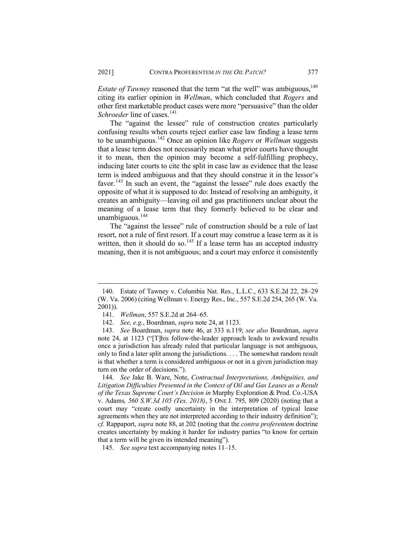*Estate of Tawney* reasoned that the term "at the well" was ambiguous,<sup>[140](#page-33-0)</sup> citing its earlier opinion in *Wellman*, which concluded that *Rogers* and other first marketable product cases were more "persuasive" than the older *Schroeder* line of cases.<sup>[141](#page-33-1)</sup>

The "against the lessee" rule of construction creates particularly confusing results when courts reject earlier case law finding a lease term to be unambiguous.[142](#page-33-2) Once an opinion like *Rogers* or *Wellman* suggests that a lease term does not necessarily mean what prior courts have thought it to mean, then the opinion may become a self-fulfilling prophecy, inducing later courts to cite the split in case law as evidence that the lease term is indeed ambiguous and that they should construe it in the lessor's favor.<sup>[143](#page-33-3)</sup> In such an event, the "against the lessee" rule does exactly the opposite of what it is supposed to do: Instead of resolving an ambiguity, it creates an ambiguity—leaving oil and gas practitioners unclear about the meaning of a lease term that they formerly believed to be clear and unambiguous. $144$ 

The "against the lessee" rule of construction should be a rule of last resort, not a rule of first resort. If a court may construe a lease term as it is written, then it should do so.<sup>[145](#page-33-5)</sup> If a lease term has an accepted industry meaning, then it is not ambiguous; and a court may enforce it consistently

<span id="page-33-0"></span><sup>140.</sup> Estate of Tawney v. Columbia Nat. Res., L.L.C., 633 S.E.2d 22, 28–29 (W. Va. 2006) (citing Wellman v. Energy Res., Inc., 557 S.E.2d 254, 265 (W. Va. 2001)).

<sup>141.</sup> *Wellman*, 557 S.E.2d at 264–65.

<sup>142.</sup> *See, e.g.*, Boardman, *supra* note 24, at 1123.

<span id="page-33-3"></span><span id="page-33-2"></span><span id="page-33-1"></span><sup>143.</sup> *See* Boardman, *supra* note 46, at 333 n.119; *see also* Boardman, *supra* note 24, at 1123 ("[T]his follow-the-leader approach leads to awkward results once a jurisdiction has already ruled that particular language is not ambiguous, only to find a later split among the jurisdictions. . . . The somewhat random result is that whether a term is considered ambiguous or not in a given jurisdiction may turn on the order of decisions.").

<span id="page-33-4"></span><sup>144.</sup> *See* Jake B. Ware, Note, *Contractual Interpretations, Ambiguities, and Litigation Difficulties Presented in the Context of Oil and Gas Leases as a Result of the Texas Supreme Court's Decision in* Murphy Exploration & Prod. Co.-USA v. Adams*, 560 S.W.3d 105 (Tex. 2018)*, 5 ONE J. 795, 809 (2020) (noting that a court may "create costly uncertainty in the interpretation of typical lease agreements when they are not interpreted according to their industry definition"); *cf.* Rappaport, *supra* note 88, at 202 (noting that the *contra proferentem* doctrine creates uncertainty by making it harder for industry parties "to know for certain that a term will be given its intended meaning").

<span id="page-33-5"></span><sup>145.</sup> *See supra* text accompanying notes 11–15.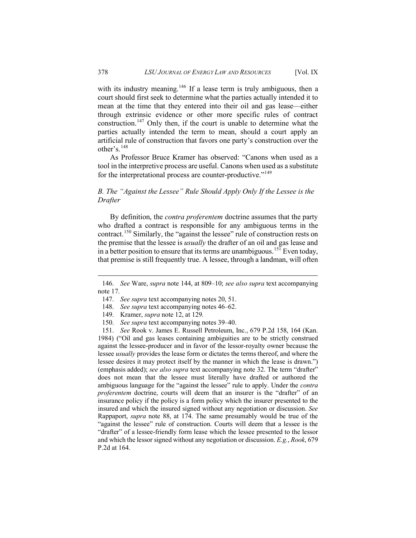with its industry meaning.<sup>[146](#page-34-0)</sup> If a lease term is truly ambiguous, then a court should first seek to determine what the parties actually intended it to mean at the time that they entered into their oil and gas lease—either through extrinsic evidence or other more specific rules of contract construction.<sup>[147](#page-34-1)</sup> Only then, if the court is unable to determine what the parties actually intended the term to mean, should a court apply an artificial rule of construction that favors one party's construction over the other's.[148](#page-34-2)

As Professor Bruce Kramer has observed: "Canons when used as a tool in the interpretive process are useful. Canons when used as a substitute for the interpretational process are counter-productive."<sup>[149](#page-34-3)</sup>

# *B. The "Against the Lessee" Rule Should Apply Only If the Lessee is the Drafter*

By definition, the *contra proferentem* doctrine assumes that the party who drafted a contract is responsible for any ambiguous terms in the contract.<sup>[150](#page-34-4)</sup> Similarly, the "against the lessee" rule of construction rests on the premise that the lessee is *usually* the drafter of an oil and gas lease and in a better position to ensure that its terms are unambiguous.<sup>[151](#page-34-5)</sup> Even today, that premise is still frequently true. A lessee, through a landman, will often

- 148. *See supra* text accompanying notes 46–62.
- 149. Kramer, *supra* note 12, at 129.
- 150. *See supra* text accompanying notes 39–40.

<span id="page-34-5"></span><span id="page-34-4"></span><span id="page-34-3"></span><span id="page-34-2"></span>151. *See* Rook v. James E. Russell Petroleum, Inc., 679 P.2d 158, 164 (Kan. 1984) ("Oil and gas leases containing ambiguities are to be strictly construed against the lessee-producer and in favor of the lessor-royalty owner because the lessee *usually* provides the lease form or dictates the terms thereof, and where the lessee desires it may protect itself by the manner in which the lease is drawn.") (emphasis added); *see also supra* text accompanying note 32. The term "drafter" does not mean that the lessee must literally have drafted or authored the ambiguous language for the "against the lessee" rule to apply. Under the *contra proferentem* doctrine, courts will deem that an insurer is the "drafter" of an insurance policy if the policy is a form policy which the insurer presented to the insured and which the insured signed without any negotiation or discussion. *See*  Rappaport, *supra* note 88, at 174. The same presumably would be true of the "against the lessee" rule of construction. Courts will deem that a lessee is the "drafter" of a lessee-friendly form lease which the lessee presented to the lessor and which the lessor signed without any negotiation or discussion. *E.g.*, *Rook*, 679 P.2d at 164.

<span id="page-34-1"></span><span id="page-34-0"></span><sup>146.</sup> *See* Ware, *supra* note 144, at 809–10; *see also supra* text accompanying note 17.

<sup>147.</sup> *See supra* text accompanying notes 20, 51.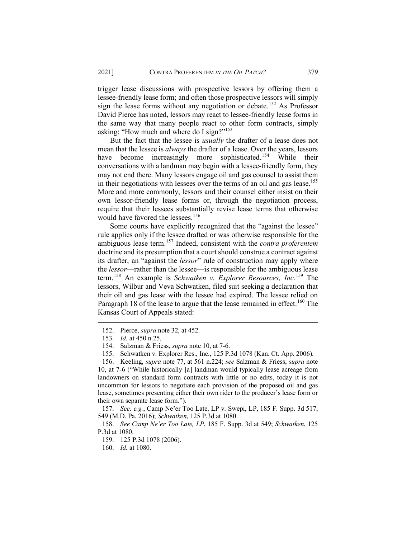trigger lease discussions with prospective lessors by offering them a lessee-friendly lease form; and often those prospective lessors will simply sign the lease forms without any negotiation or debate.<sup>[152](#page-35-0)</sup> As Professor David Pierce has noted, lessors may react to lessee-friendly lease forms in the same way that many people react to other form contracts, simply asking: "How much and where do I sign?"<sup>[153](#page-35-1)</sup>

But the fact that the lessee is *usually* the drafter of a lease does not mean that the lessee is *always* the drafter of a lease. Over the years, lessors have become increasingly more sophisticated.<sup>[154](#page-35-2)</sup> While their conversations with a landman may begin with a lessee-friendly form, they may not end there. Many lessors engage oil and gas counsel to assist them in their negotiations with lessees over the terms of an oil and gas lease.<sup>[155](#page-35-3)</sup> More and more commonly, lessors and their counsel either insist on their own lessor-friendly lease forms or, through the negotiation process, require that their lessees substantially revise lease terms that otherwise would have favored the lessees.<sup>[156](#page-35-4)</sup>

Some courts have explicitly recognized that the "against the lessee" rule applies only if the lessee drafted or was otherwise responsible for the ambiguous lease term.[157](#page-35-5) Indeed, consistent with the *contra proferentem* doctrine and its presumption that a court should construe a contract against its drafter, an "against the *lessor*" rule of construction may apply where the *lessor*—rather than the lessee—is responsible for the ambiguous lease term.[158](#page-35-6) An example is *Schwatken v. Explorer Resources, Inc.*[159](#page-35-7) The lessors, Wilbur and Veva Schwatken, filed suit seeking a declaration that their oil and gas lease with the lessee had expired. The lessee relied on Paragraph 18 of the lease to argue that the lease remained in effect.<sup>[160](#page-35-8)</sup> The Kansas Court of Appeals stated:

<span id="page-35-5"></span>157. *See, e.g.*, Camp Ne'er Too Late, LP v. Swepi, LP, 185 F. Supp. 3d 517, 549 (M.D. Pa. 2016); *Schwatken*, 125 P.3d at 1080.

<span id="page-35-8"></span><span id="page-35-7"></span><span id="page-35-6"></span>158. *See Camp Ne'er Too Late, LP*, 185 F. Supp. 3d at 549; *Schwatken*, 125 P.3d at 1080.

159. 125 P.3d 1078 (2006).

<span id="page-35-0"></span><sup>152.</sup> Pierce, *supra* note 32, at 452.

<sup>153.</sup> *Id.* at 450 n.25.

<sup>154.</sup> Salzman & Friess, *supra* note 10, at 7-6.

<sup>155.</sup> Schwatken v. Explorer Res., Inc., 125 P.3d 1078 (Kan. Ct. App. 2006).

<span id="page-35-4"></span><span id="page-35-3"></span><span id="page-35-2"></span><span id="page-35-1"></span><sup>156.</sup> Keeling, *supra* note 77, at 561 n.224; *see* Salzman & Friess, *supra* note 10, at 7-6 ("While historically [a] landman would typically lease acreage from landowners on standard form contracts with little or no edits, today it is not uncommon for lessors to negotiate each provision of the proposed oil and gas lease, sometimes presenting either their own rider to the producer's lease form or their own separate lease form.").

<sup>160.</sup> *Id.* at 1080.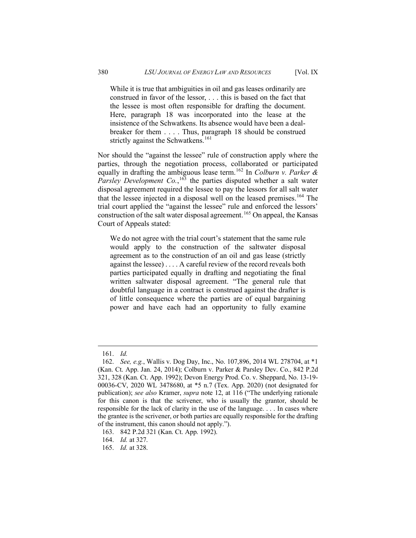While it is true that ambiguities in oil and gas leases ordinarily are construed in favor of the lessor, . . . this is based on the fact that the lessee is most often responsible for drafting the document. Here, paragraph 18 was incorporated into the lease at the insistence of the Schwatkens. Its absence would have been a dealbreaker for them . . . . Thus, paragraph 18 should be construed strictly against the Schwatkens.<sup>[161](#page-36-0)</sup>

Nor should the "against the lessee" rule of construction apply where the parties, through the negotiation process, collaborated or participated equally in drafting the ambiguous lease term.[162](#page-36-1) In *Colburn v. Parker & Parsley Development Co.*, [163](#page-36-2) the parties disputed whether a salt water disposal agreement required the lessee to pay the lessors for all salt water that the lessee injected in a disposal well on the leased premises.<sup>[164](#page-36-3)</sup> The trial court applied the "against the lessee" rule and enforced the lessors' construction of the salt water disposal agreement.<sup>[165](#page-36-4)</sup> On appeal, the Kansas Court of Appeals stated:

We do not agree with the trial court's statement that the same rule would apply to the construction of the saltwater disposal agreement as to the construction of an oil and gas lease (strictly against the lessee) . . . . A careful review of the record reveals both parties participated equally in drafting and negotiating the final written saltwater disposal agreement. "The general rule that doubtful language in a contract is construed against the drafter is of little consequence where the parties are of equal bargaining power and have each had an opportunity to fully examine

<sup>161.</sup> *Id.*

<span id="page-36-1"></span><span id="page-36-0"></span><sup>162.</sup> *See, e.g.*, Wallis v. Dog Day, Inc., No. 107,896, 2014 WL 278704, at \*1 (Kan. Ct. App. Jan. 24, 2014); Colburn v. Parker & Parsley Dev. Co., 842 P.2d 321, 328 (Kan. Ct. App. 1992); Devon Energy Prod. Co. v. Sheppard, No. 13-19- 00036-CV, 2020 WL 3478680, at \*5 n.7 (Tex. App. 2020) (not designated for publication); *see also* Kramer, *supra* note 12, at 116 ("The underlying rationale for this canon is that the scrivener, who is usually the grantor, should be responsible for the lack of clarity in the use of the language. . . . In cases where the grantee is the scrivener, or both parties are equally responsible for the drafting of the instrument, this canon should not apply.").

<span id="page-36-2"></span><sup>163.</sup> 842 P.2d 321 (Kan. Ct. App. 1992).

<span id="page-36-3"></span><sup>164.</sup> *Id.* at 327.

<span id="page-36-4"></span><sup>165.</sup> *Id.* at 328.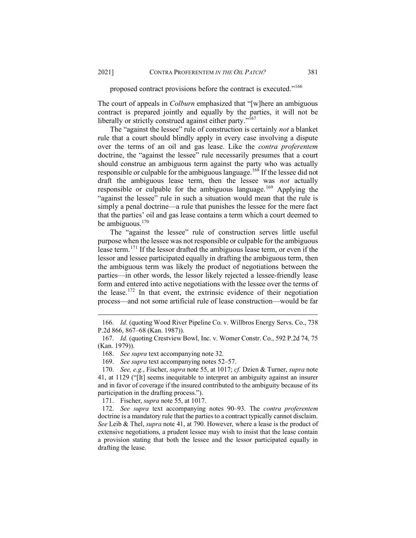proposed contract provisions before the contract is executed."[166](#page-37-0)

The court of appeals in *Colburn* emphasized that "[w]here an ambiguous contract is prepared jointly and equally by the parties, it will not be liberally or strictly construed against either party."<sup>[167](#page-37-1)</sup>

The "against the lessee" rule of construction is certainly *not* a blanket rule that a court should blindly apply in every case involving a dispute over the terms of an oil and gas lease. Like the *contra proferentem* doctrine, the "against the lessee" rule necessarily presumes that a court should construe an ambiguous term against the party who was actually responsible or culpable for the ambiguous language.<sup>[168](#page-37-2)</sup> If the lessee did not draft the ambiguous lease term, then the lessee was *not* actually responsible or culpable for the ambiguous language.<sup>[169](#page-37-3)</sup> Applying the "against the lessee" rule in such a situation would mean that the rule is simply a penal doctrine—a rule that punishes the lessee for the mere fact that the parties' oil and gas lease contains a term which a court deemed to be ambiguous. $170$ 

The "against the lessee" rule of construction serves little useful purpose when the lessee was not responsible or culpable for the ambiguous lease term.[171](#page-37-5) If the lessor drafted the ambiguous lease term, or even if the lessor and lessee participated equally in drafting the ambiguous term, then the ambiguous term was likely the product of negotiations between the parties—in other words, the lessor likely rejected a lessee-friendly lease form and entered into active negotiations with the lessee over the terms of the lease.<sup>[172](#page-37-6)</sup> In that event, the extrinsic evidence of their negotiation process—and not some artificial rule of lease construction—would be far

<span id="page-37-0"></span><sup>166.</sup> *Id.* (quoting Wood River Pipeline Co. v. Willbros Energy Servs. Co., 738 P.2d 866, 867–68 (Kan. 1987)).

<span id="page-37-1"></span><sup>167.</sup> *Id.* (quoting Crestview Bowl, Inc. v. Womer Constr. Co., 592 P.2d 74, 75 (Kan. 1979)).

<sup>168.</sup> *See supra* text accompanying note 32.

<sup>169.</sup> *See supra* text accompanying notes 52–57.

<span id="page-37-4"></span><span id="page-37-3"></span><span id="page-37-2"></span><sup>170.</sup> *See, e.g.*, Fischer, *supra* note 55, at 1017; *cf.* Dzien & Turner, *supra* note 41, at 1129 ("[It] seems inequitable to interpret an ambiguity against an insurer and in favor of coverage if the insured contributed to the ambiguity because of its participation in the drafting process.").

<sup>171.</sup> Fischer, *supra* note 55, at 1017.

<span id="page-37-6"></span><span id="page-37-5"></span><sup>172.</sup> *See supra* text accompanying notes 90–93. The *contra proferentem*  doctrine is a mandatory rule that the parties to a contract typically cannot disclaim. *See* Leib & Thel, *supra* note 41, at 790. However, where a lease is the product of extensive negotiations, a prudent lessee may wish to insist that the lease contain a provision stating that both the lessee and the lessor participated equally in drafting the lease.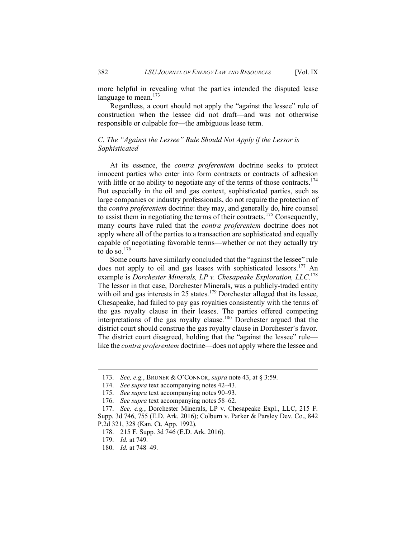more helpful in revealing what the parties intended the disputed lease language to mean. $173$ 

Regardless, a court should not apply the "against the lessee" rule of construction when the lessee did not draft—and was not otherwise responsible or culpable for—the ambiguous lease term.

# *C. The "Against the Lessee" Rule Should Not Apply if the Lessor is Sophisticated*

At its essence, the *contra proferentem* doctrine seeks to protect innocent parties who enter into form contracts or contracts of adhesion with little or no ability to negotiate any of the terms of those contracts.<sup>[174](#page-38-1)</sup> But especially in the oil and gas context, sophisticated parties, such as large companies or industry professionals, do not require the protection of the *contra proferentem* doctrine: they may, and generally do, hire counsel to assist them in negotiating the terms of their contracts.<sup>[175](#page-38-2)</sup> Consequently, many courts have ruled that the *contra proferentem* doctrine does not apply where all of the parties to a transaction are sophisticated and equally capable of negotiating favorable terms—whether or not they actually try to do so. $176$ 

Some courts have similarly concluded that the "against the lessee" rule does not apply to oil and gas leases with sophisticated lessors.<sup>[177](#page-38-4)</sup> An example is *Dorchester Minerals, LP v. Chesapeake Exploration, LLC*. [178](#page-38-5) The lessor in that case, Dorchester Minerals, was a publicly-traded entity with oil and gas interests in 25 states.<sup>[179](#page-38-6)</sup> Dorchester alleged that its lessee, Chesapeake, had failed to pay gas royalties consistently with the terms of the gas royalty clause in their leases. The parties offered competing interpretations of the gas royalty clause.[180](#page-38-7) Dorchester argued that the district court should construe the gas royalty clause in Dorchester's favor. The district court disagreed, holding that the "against the lessee" rule like the *contra proferentem* doctrine—does not apply where the lessee and

<span id="page-38-0"></span><sup>173.</sup> *See, e.g.*, BRUNER & O'CONNOR, *supra* note 43, at § 3:59.

<sup>174.</sup> *See supra* text accompanying notes 42–43.

<sup>175.</sup> *See supra* text accompanying notes 90–93.

<sup>176.</sup> *See supra* text accompanying notes 58–62.

<span id="page-38-5"></span><span id="page-38-4"></span><span id="page-38-3"></span><span id="page-38-2"></span><span id="page-38-1"></span><sup>177.</sup> *See, e.g.*, Dorchester Minerals, LP v. Chesapeake Expl., LLC, 215 F. Supp. 3d 746, 755 (E.D. Ark. 2016); Colburn v. Parker & Parsley Dev. Co., 842 P.2d 321, 328 (Kan. Ct. App. 1992).

<sup>178.</sup> 215 F. Supp. 3d 746 (E.D. Ark. 2016).

<span id="page-38-6"></span><sup>179.</sup> *Id.* at 749.

<span id="page-38-7"></span><sup>180.</sup> *Id.* at 748–49.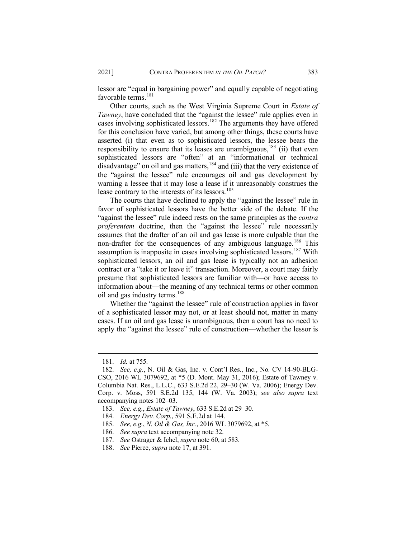lessor are "equal in bargaining power" and equally capable of negotiating favorable terms.<sup>[181](#page-39-0)</sup>

Other courts, such as the West Virginia Supreme Court in *Estate of Tawney*, have concluded that the "against the lessee" rule applies even in cases involving sophisticated lessors.<sup>[182](#page-39-1)</sup> The arguments they have offered for this conclusion have varied, but among other things, these courts have asserted (i) that even as to sophisticated lessors, the lessee bears the responsibility to ensure that its leases are unambiguous,<sup>[183](#page-39-2)</sup> (ii) that even sophisticated lessors are "often" at an "informational or technical disadvantage" on oil and gas matters,  $184$  and (iii) that the very existence of the "against the lessee" rule encourages oil and gas development by warning a lessee that it may lose a lease if it unreasonably construes the lease contrary to the interests of its lessors.<sup>[185](#page-39-4)</sup>

The courts that have declined to apply the "against the lessee" rule in favor of sophisticated lessors have the better side of the debate. If the "against the lessee" rule indeed rests on the same principles as the *contra proferentem* doctrine, then the "against the lessee" rule necessarily assumes that the drafter of an oil and gas lease is more culpable than the non-drafter for the consequences of any ambiguous language.<sup>[186](#page-39-5)</sup> This assumption is inapposite in cases involving sophisticated lessors.<sup>[187](#page-39-6)</sup> With sophisticated lessors, an oil and gas lease is typically not an adhesion contract or a "take it or leave it" transaction. Moreover, a court may fairly presume that sophisticated lessors are familiar with—or have access to information about—the meaning of any technical terms or other common oil and gas industry terms.<sup>[188](#page-39-7)</sup>

Whether the "against the lessee" rule of construction applies in favor of a sophisticated lessor may not, or at least should not, matter in many cases. If an oil and gas lease is unambiguous, then a court has no need to apply the "against the lessee" rule of construction—whether the lessor is

<sup>181.</sup> *Id.* at 755.

<span id="page-39-1"></span><span id="page-39-0"></span><sup>182.</sup> *See, e.g.*, N. Oil & Gas, Inc. v. Cont'l Res., Inc., No. CV 14-90-BLG-CSO, 2016 WL 3079692, at \*5 (D. Mont. May 31, 2016); Estate of Tawney v. Columbia Nat. Res., L.L.C., 633 S.E.2d 22, 29–30 (W. Va. 2006); Energy Dev. Corp. v. Moss, 591 S.E.2d 135, 144 (W. Va. 2003); *see also supra* text accompanying notes 102–03.

<span id="page-39-2"></span><sup>183.</sup> *See, e.g.*, *Estate of Tawney*, 633 S.E.2d at 29–30.

<span id="page-39-3"></span><sup>184.</sup> *Energy Dev. Corp.*, 591 S.E.2d at 144.

<span id="page-39-5"></span><span id="page-39-4"></span><sup>185.</sup> *See, e.g.*, *N. Oil & Gas, Inc.*, 2016 WL 3079692, at \*5.

<sup>186.</sup> *See supra* text accompanying note 32.

<span id="page-39-6"></span><sup>187.</sup> *See* Ostrager & Ichel, *supra* note 60, at 583.

<span id="page-39-7"></span><sup>188.</sup> *See* Pierce, *supra* note 17, at 391.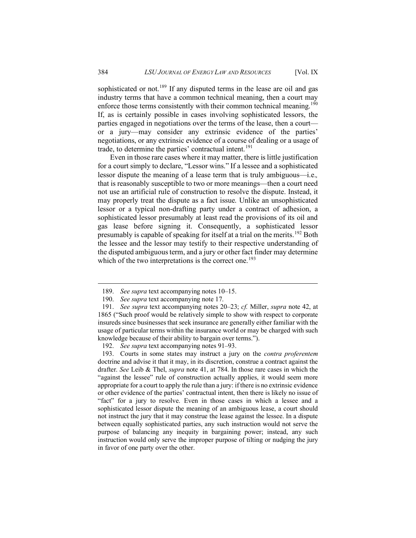sophisticated or not.<sup>[189](#page-40-0)</sup> If any disputed terms in the lease are oil and gas industry terms that have a common technical meaning, then a court may enforce those terms consistently with their common technical meaning.<sup>[190](#page-40-1)</sup> If, as is certainly possible in cases involving sophisticated lessors, the parties engaged in negotiations over the terms of the lease, then a court or a jury—may consider any extrinsic evidence of the parties' negotiations, or any extrinsic evidence of a course of dealing or a usage of trade, to determine the parties' contractual intent.<sup>[191](#page-40-2)</sup>

Even in those rare cases where it may matter, there is little justification for a court simply to declare, "Lessor wins." If a lessee and a sophisticated lessor dispute the meaning of a lease term that is truly ambiguous—i.e.*,* that is reasonably susceptible to two or more meanings—then a court need not use an artificial rule of construction to resolve the dispute. Instead, it may properly treat the dispute as a fact issue. Unlike an unsophisticated lessor or a typical non-drafting party under a contract of adhesion, a sophisticated lessor presumably at least read the provisions of its oil and gas lease before signing it. Consequently, a sophisticated lessor presumably is capable of speaking for itself at a trial on the merits.<sup>[192](#page-40-3)</sup> Both the lessee and the lessor may testify to their respective understanding of the disputed ambiguous term, and a jury or other fact finder may determine which of the two interpretations is the correct one.<sup>[193](#page-40-4)</sup>

<sup>189.</sup> *See supra* text accompanying notes 10–15.

<sup>190.</sup> *See supra* text accompanying note 17.

<span id="page-40-2"></span><span id="page-40-1"></span><span id="page-40-0"></span><sup>191.</sup> *See supra* text accompanying notes 20–23; *cf.* Miller, *supra* note 42, at 1865 ("Such proof would be relatively simple to show with respect to corporate insureds since businesses that seek insurance are generally either familiar with the usage of particular terms within the insurance world or may be charged with such knowledge because of their ability to bargain over terms.").

<sup>192.</sup> *See supra* text accompanying notes 91–93.

<span id="page-40-4"></span><span id="page-40-3"></span><sup>193.</sup> Courts in some states may instruct a jury on the *contra proferentem*  doctrine and advise it that it may, in its discretion, construe a contract against the drafter. *See* Leib & Thel, *supra* note 41, at 784. In those rare cases in which the "against the lessee" rule of construction actually applies, it would seem more appropriate for a court to apply the rule than a jury: if there is no extrinsic evidence or other evidence of the parties' contractual intent, then there is likely no issue of "fact" for a jury to resolve. Even in those cases in which a lessee and a sophisticated lessor dispute the meaning of an ambiguous lease, a court should not instruct the jury that it may construe the lease against the lessee. In a dispute between equally sophisticated parties, any such instruction would not serve the purpose of balancing any inequity in bargaining power; instead, any such instruction would only serve the improper purpose of tilting or nudging the jury in favor of one party over the other.